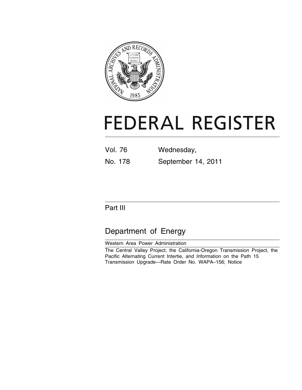

# **FEDERAL REGISTER**

| <b>Vol. 76</b> | Wednesday,         |
|----------------|--------------------|
| No. 178        | September 14, 2011 |

# Part III

# Department of Energy

Western Area Power Administration

The Central Valley Project, the California-Oregon Transmission Project, the Pacific Alternating Current Intertie, and Information on the Path 15 Transmission Upgrade—Rate Order No. WAPA–156; Notice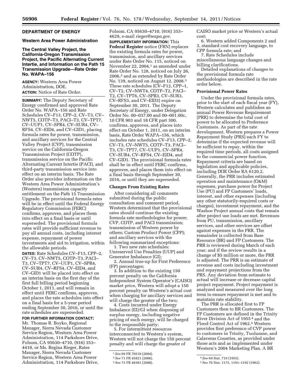# **DEPARTMENT OF ENERGY**

#### **Western Area Power Administration**

## **The Central Valley Project, the California-Oregon Transmission Project, the Pacific Alternating Current Intertie, and Information on the Path 15 Transmission Upgrade—Rate Order No. WAPA–156**

**AGENCY:** Western Area Power Administration, DOE. **ACTION:** Notice of Rate Order.

**SUMMARY:** The Deputy Secretary of Energy confirmed and approved Rate Order No. WAPA–156 and Rate Schedules CV–F13, CPP–2, CV–T3, CV– NWT5, COTP–T3, PACI–T3, CV–TPT7, CV–UUP1, CV–SPR4, CV–SUR4, CV– RFS4, CV–EID4, and CV–GID1, placing formula rates for power, transmission, and ancillary services for the Central Valley Project (CVP), transmission service on the California-Oregon Transmission Project (COTP), transmission service on the Pacific Alternating Current Intertie (PACI), and third-party transmission service into effect on an interim basis. The Rate Order also provides information on the Western Area Power Administration's (Western) transmission capacity entitlement on the Path 15 Transmission Upgrade. The provisional formula rates will be in effect until the Federal Energy Regulatory Commission (FERC) confirms, approves, and places them into effect on a final basis or until superseded. The provisional formula rates will provide sufficient revenue to pay all annual costs, including interest expense, repayment of power investments and aid to irrigation, within the allowable periods.

**DATES:** Rate Schedules CV–F13, CPP–2, CV–T3, CV–NWT5, COTP–T3, PACI– T3, CV–TPT7, CV–UUP1, CV–SPR4, CV–SUR4, CV–RFS4, CV–EID4, and CV–GID1 will be placed into effect on an interim basis on the first day of the first full billing period beginning October 1, 2011, and will remain in effect until FERC confirms, approves, and places the rate schedules into effect on a final basis for a 5-year period ending September 30, 2016, or until the rate schedules are superseded.

## **FOR FURTHER INFORMATION CONTACT:**

Mr. Thomas R. Boyko, Regional Manager, Sierra Nevada Customer Service Region, Western Area Power Administration, 114 Parkshore Drive, Folsom, CA 95630–4710, (916) 353– 4418, or Ms. Regina Rieger, Rates Manager, Sierra Nevada Customer Service Region, Western Area Power Administration, 114 Parkshore Drive,

Folsom, CA 95630–4710, (916) 353– 4629, e-mail *rieger@wapa.gov.* 

**SUPPLEMENTARY INFORMATION:** This **Federal Register** notice (FRN) replaces the existing formula rates for power, transmission, and ancillary services under Rate Order No. 115, noticed on November 22, 2004,<sup>1</sup> as amended under Rate Order No. 128, noticed on July 26, 2006,2 and as extended by Rate Order No. 139, noticed on August 12, 2008.3 These rate schedules (CV–F12, CPP–1, CV–T2, CV–NWT4, COTP–T2, PACI– T2, CV–TPT6, CV–SPR3, CV–SUR3, CV–RFS3, and CV–EID3) expire on September 30, 2011. The Deputy Secretary of Energy, under Delegation Order No. 00–037.00 and 00–001.00c, 10 CFR 903 and 18 CFR part 300, confirms, approves, and places into effect on October 1, 2011, on an interim basis, Rate Order WAPA–156, which includes rate schedules CV–F13, CPP–2, CV–T3, CV–NWT5, COTP–T3, PACI– T3, CV–TPT7, CV–UUP1, CV–SPR4, CV–SUR4, CV–RFS4, CV–EID4, and CV–GID1. The provisional formula rates shall be in effect until FERC confirms, approves, and places them into effect on a final basis through September 30, 2016, or until they are superseded.

#### **Changes From Existing Rates**

After considering all comments submitted during the public consultation and comment period, Western determined that the provisional rates should continue the existing formula rate methodologies for power; CVP, COTP, and PACI transmission; transmission of Western power by others; Custom Product Power (CPP); and ancillary services with the following summarized exceptions:

1. Two new rate schedules: Unreserved Use Penalties (UUP) and Generator Imbalance (GI);

2. Annual true-up for First Preference (FP) percentages;

3. In addition to the existing 150 percent penalty on the California Independent System Operator's (CAISO) market price, Western will adopt a 150 percent penalty on Western's actual cost when charging for ancillary services and will charge the greater of the two;

4. Costs incurred under Energy Imbalance (EI)/GI when disposing of surplus energy, including negative pricing of such energy, will be charged to the responsible party;

5. For intermittent resources interconnected to Western's system, Western will not charge the 150 percent penalty and will charge the greater of

CAISO market price or Western's actual cost;

6. Western added Components 2 and 3, standard cost recovery language, to CPP formula rate; and

7. Rate Schedules include

miscellaneous language changes and billing clarifications.

Detailed explanations of changes to the provisional formula rate methodologies are described in the rate order below.

#### **Provisional Power Rates**

Under the provisional formula rates, prior to the start of each fiscal year (FY), Western calculates and publishes an annual Power Revenue Requirement (PRR) to determine the total cost of power to be allocated to Preference Customers. As part of the rate development, Western prepares a Power Repayment Study (PRS) each FY to determine if the expected revenue will be sufficient to repay, within the required time periods, all costs assigned to the commercial power function. Repayment criteria are based on legislation and applicable policies, including DOE Order RA 6120.2. Generally, the PRR includes estimated operation and maintenance (O&M) expenses, purchase power for Project Use (PU) and FP Customers' loads, interest, and other expenses (including any other statutorily-required costs or charges), investment repayment, and the Washoe Project annual costs that remain after project use loads are met. Revenues from PU, transmission, ancillary services, and other services are offset against expenses in the PRR. The remainder is collected from Base Resource (BR) and FP Customers. The PRR is reviewed during March of each year; and if the review results in a change of \$5 million or more, the PRR is adjusted. The PRR is an estimate of revenue and costs including investment and repayment projections from the PRS. Any deviation from estimate to actual will increase or decrease capital project repayment. Project repayment is analyzed and measured over the long term to ensure repayment is met and to maintain rate stability.

The PRR is allocated first to FP Customers then to BR Customers. The FP Customers are defined in the Trinity River Division Act of 1955 4 and the Flood Control Act of 1962.5 Western provides first preference of CVP power to customers in Trinity, Tuolumne, and Calaveras Counties, as provided under those acts and as implemented under Western's 2004 Marketing Plan. A BR

<sup>1</sup>*See* 69 FR 70510 (2004).

<sup>2</sup>*See* 71 FR 45821 (2006).

<sup>3</sup>*See* 73 FR 48381 (2008).

<sup>4</sup>*See* 69 Stat. 719 (1955).

<sup>5</sup>*See* 76 Stat. 1173, 1191–1192 (1962).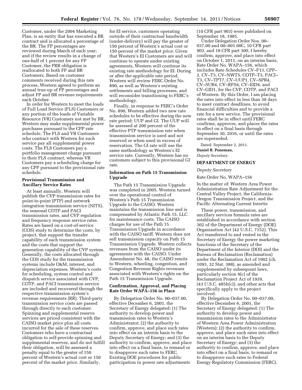Customer, under the 2004 Marketing Plan, is an entity that has executed a BR contract and is allocated a percentage of the BR. The FP percentages are reviewed during March of each year; and if the review results in a change of one-half of 1 percent for any FP Customer, the PRR obligation is reallocated to both FP and BR Customers. Based on customer comments received during this rate process, Western agreed to perform an annual true-up of FP percentages and adjust FP and BR revenue requirements each October.

In order for Western to meet the loads of Full Load Service (FLS) Customers or any portion of the loads of Variable Resource (VR) Customers not met by BR, Western may make supplemental power purchases pursuant to the CPP rate schedule. The FLS and VR Customers who contract with Western for such service pay all supplemental power costs. The FLS Customers pay a portfolio management charge pursuant to their FLS contract, whereas VR Customers pay a scheduling charge for any CPP pursuant to the provisional rate schedule.

#### **Provisional Transmission and Ancillary Service Rates**

At least annually, Western will publish the CVP transmission rates for point-to-point (PTP) and network integration transmission service (NITS), the seasonal COTP and PACI transmission rates, and CVP regulation and frequency response service rates. Rates are based on a cost-of-service (COS) study to determine the costs, by project, that support the transfer capability of each transmission system and the costs that support the generation capability of the CVP system. Generally, the costs allocated through the COS study for the transmission systems include O&M, interest, and depreciation expenses. Western's costs for scheduling, system control and dispatch service associated with CVP, COTP, and PACI transmission service are included and recovered through the respective transmission system's revenue requirements (RR). Third-party transmission service costs are passed through directly to each customer. Spinning and supplemental reserve services are priced consistent with the CAISO market price plus all costs incurred for the sale of these reserves. Customers who have a contractual obligation to self-provide spinning and supplemental reserves, and do not fulfill their obligation, will be assessed a penalty equal to the greater of 150 percent of Western's actual cost or 150 percent of the market price. Similarly,

for EI service, customers operating outside of their contractual bandwidth (under-delivery) will pay the greater of 150 percent of Western's actual cost or 150 percent of the market price. Given that Western's EI Customers are and will continue to operate under existing agreements, Western will continue its existing rate methodology for EI. During or after the applicable rate period, Western will review FERC Order No. 890, as well as Western's existing settlements and billing processes, and will reconsider transitioning to FERC's methodology.

Finally, in response to FERC's Order No. 890, Western added two new rate schedules to be effective during the new rate period: UUP and GI. The UUP will be assessed at 200 percent of the effective PTP transmission rate when transmission service is used and not reserved or when used in excess of reservation. The GI rate will use the same methodology as Western's EI service rate. Currently, Western has no customers subject to this provisional GI rate.

## **Information on Path 15 Transmission Upgrade**

The Path 15 Transmission Upgrade was completed in 2005. Western turned over the operational control of Western's Path 15 Transmission Upgrade to the CAISO. Western maintains the transmission line and is compensated by Atlantic Path 15, LLC for maintenance costs. The CAISO charges for use of the Path 15 Transmission Upgrade in accordance with the CAISO tariff. Western does not sell transmission capacity on Path 15 Transmission Upgrade. Western collects revenues from the CAISO under its agreements with the CAISO. Under Amendment No. 48, the CAISO remits to Western, wheeling, congestion, and Congestion Revenue Rights revenues associated with Western's rights on the Path 15 Transmission Upgrade.

#### **Confirmation, Approval, and Placing Rate Order WAPA–156 in Place**

By Delegation Order No. 00–037.00, effective December 6, 2001, the Secretary of Energy delegated: (1) The authority to develop power and transmission rates to Western's Administrator; (2) the authority to confirm, approve, and place such rates into effect on an interim basis to the Deputy Secretary of Energy; and (3) the authority to confirm, approve, and place into effect on a final basis, to remand or to disapprove such rates to FERC. Existing DOE procedures for public participation in power rate adjustments

(10 CFR part 903) were published on September 18, 1985.

Under Delegation Order Nos. 00– 037.00 and 00–001.00C, 10 CFR part 903, and 18 CFR part 300, I hereby confirm, approve, and place into effect on October 1, 2011, on an interim basis, Rate Order No. WAPA–156, which includes Rate Schedules CV–F13, CPP– 2, CV–T3, CV–NWT5, COTP–T3, PACI– T3, CV–TPT7, CV–UUP1, CV–SPR4, CV–SUR4, CV–RFS4, CV–EID4, and CV–GID1, for the CVP, COTP, and PACI of Western. By this Order, I am placing the rates into effect in less than 30 days to meet contract deadlines, to avoid financial difficulties and to provide a rate for a new service. The provisional rates shall be in effect until FERC confirms, approves, and places the rates in effect on a final basis through September 30, 2016, or until the rates are superseded.

Dated: September 2, 2011.

**Daniel B. Poneman,** 

#### *Deputy Secretary.*

# **DEPARTMENT OF ENERGY**

#### *Deputy Secretary*

Rate Order No. WAPA–156

In the matter of: Western Area Power Administration Rate Adjustment for the Central Valley Project, the California-Oregon Transmission Project, and the Pacific Alternating Current Intertie

These power, transmission, and ancillary services formula rates are established in accordance with section 302 of the Department of Energy (DOE) Organization Act (42 U.S.C. 7152). This Act transferred to and vested in the Secretary of Energy the power marketing functions of the Secretary of the Department of the Interior (DOI) and the Bureau of Reclamation (Reclamation) under the Reclamation Act of 1902 (ch. 1093, 32 Stat. 388), as amended and supplemented by subsequent laws, particularly section 9(c) of the Reclamation Project Act of 1939,  $(43 \text{ U.S.C. } 485h(c))$ , and other acts that specifically apply to the project involved.

By Delegation Order No. 00–037.00, effective December 6, 2001, the Secretary of Energy delegated: (1) The authority to develop power and transmission rates to the Administrator of Western Area Power Administration (Western); (2) the authority to confirm, approve, and place such rates into effect on an interim basis to the Deputy Secretary of Energy; and (3) the authority to confirm, approve, and place into effect on a final basis, to remand or to disapprove such rates to Federal Energy Regulatory Commission (FERC).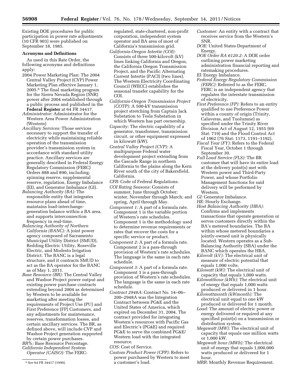Existing DOE procedures for public participation in power rate adjustments (10 CFR 903) were published on September 18, 1985.

#### **Acronyms and Definitions**

As used in this Rate Order, the following acronyms and definitions apply:

- 2004 Power Marketing Plan: The 2004 Central Valley Project (CVP) Power Marketing Plan effective January 1, 2005.6 The final marketing program for the Sierra Nevada Region (SNR) power after 2004 established through a public process and published in the **Federal Register** at 64 FR 34417.
- *Administrator:* Administrator for the Western Area Power Administration (Western)
- *Ancillary Services:* Those services necessary to support the transfer of electricity while maintaining reliable operation of the transmission provider's transmission system in accordance with standard utility practice. Ancillary services are generally described in Federal Energy Regulatory Commission (FERC) Orders 888 and 890, including: spinning reserve, supplemental reserve, regulation, Energy Imbalance (EI), and Generator Imbalance (GI).
- *Balancing Authority (BA):* The responsible entity that integrates resource plans ahead of time, maintains load-interchangegeneration balance within a BA area, and supports interconnection frequency in real-time.
- *Balancing Authority of Northern California (BANC):* A joint power agency composed of Sacramento Municipal Utility District (SMUD), Redding Electric Utility, Roseville Electric, and Modesto Irrigation District. The BANC is a legal structure, and it contracts SMUD to act as the BA operator for the BANC as of May 1, 2011.
- *Base Resource (BR):* The Central Valley and Washoe Project power output and existing power purchase contracts extending beyond 2004 as determined by Western to be available for marketing after meeting the requirements of Project Use (PU) and First Preference (FP) Customers, and any adjustments for maintenance, reserves, transformation losses, and certain ancillary services. The BR, as defined above, will include CVP and Washoe Project generation supported by certain power purchases. *BR%:* Base Resource Percentage.

*California Independent System Operator (CAISO):* The FERC- regulated, state-chartered, non-profit corporation, independent system operator and BA area of most of California's transmission grid.

- *California-Oregon Intertie (COI):*  Consists of three 500-kilovolt (kV) lines linking California and Oregon, the California Oregon Transmission Project, and the Pacific Alternating Current Intertie (PACI) (two lines). The Western Electricity Coordinating Council (WECC) establishes the seasonal transfer capability for the COI.
- *California-Oregon Transmission Project (COTP):* A 500-kV transmission project stretching from Captain Jack Substation to Tesla Substation in which Western has part ownership.
- *Capacity:* The electric capability of a generator, transformer, transmission circuit, or other equipment expressed in kilowatt (kW).
- *Central Valley Project (CVP):* A multipurpose Federal water development project extending from the Cascade Range in northern California to the plains along the Kern River south of the city of Bakersfield, California.
- *CFR:* Code of Federal Regulations.
- *COI Rating Seasons:* Consists of summer, June through October; winter, November through March; and spring, April through May.
- *Component 1:* A part of a formula rate. Component 1 is the variable portion of Western's rate schedules. Component 1 is the methodology used to determine revenue requirements or rates that recover the costs for a specific service or product.
- *Component 2:* A part of a formula rate. Component 2 is a pass-through provision of Western's rate schedules. The language is the same in each rate schedule.
- *Component 3:* A part of a formula rate. Component 3 is a pass-through provision of Western's rate schedules. The language is the same in each rate schedule.
- *Contract 2948A:* Contract No. 14–06– 200–2948A was the Integration Contract between PG&E and the United States of America, which expired on December 31, 2004. The contract provided for integrating Western's resources with Pacific Gas and Electric's (PG&E) and required PG&E to serve the combined PG&E/ Western load with the integrated resource.
- *COS:* Cost of Service.
- *Custom Product Power (CPP):* Refers to power purchased by Western to meet a customer's load.
- *Customer:* An entity with a contract that receives service from the Western's SNR.
- *DOE:* United States Department of Energy.
- *DOE Order RA 6120.2:* A DOE order outlining power marketing administration financial reporting and ratemaking procedures.
- *EI:* Energy Imbalance.
- *Federal Energy Regulatory Commission (FERC):* Referred to as the FERC. FERC is an independent agency that regulates the interstate transmission of electricity.
- *First Preference (FP):* Refers to an entity qualified to use Preference Power within a county of origin (Trinity, Calaveras, and Tuolumne) as specified under the Trinity River Division Act of August 12, 1955 (69 Stat. 719) and the Flood Control Act of 1962 (76 Stat. 1173, 1191–1192).
- *Fiscal Year (FY):* Refers to the Federal Fiscal Year, October 1 through September 30.
- *Full Load Service (FLS):* The BR customer that will have its entire load at the delivery point(s) met with Western power and Third-Party Power, and whose Portfolio Management functions for said delivery will be performed by Western.
- *GI:* Generator Imbalance.
- *HE:* Hourly Exchange.
- *Host Balancing Authority (HBA):*  Confirms and implements transactions that operate generation or serves customers directly within the BA's metered boundaries. The BA within whose metered boundaries a jointly-owned unit is physically located. Western operates as a Sub-Balancing Authority (SBA) under the BANC which operates the HBA.
- *Kilovolt (kV):* The electrical unit of measure of electric potential that equals 1,000 volts.
- *Kilowatt (kW):* The electrical unit of capacity that equals 1,000 watts.
- *Kilowatthour (kWh):* The electrical unit of energy that equals 1,000 watts produced or delivered in 1 hour.
- *Kilowattmonth (kWmonth):* The electrical unit equal to one kW produced or delivered for 1 month.
- *Load:* The amount of electric power or energy delivered or required at any specified point(s) on a transmission or distribution system.
- *Megawatt (MW):* The electrical unit of capacity that equals one million watts or 1,000 kW.
- *Megawatt hour (MWh):* The electrical unit of energy that equals 1,000,000 watts produced or delivered for 1 hour.
- *MRR:* Monthly Revenue Requirement.

<sup>6</sup>*See* 64 FR 34417 (1999).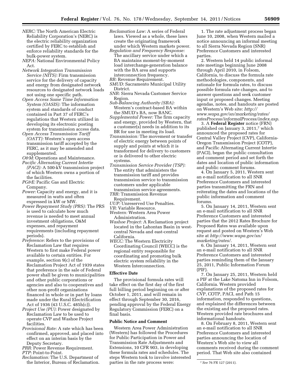- *NERC:* The North American Electric Reliability Corporation's (NERC) is the electric reliability organization certified by FERC to establish and enforce reliability standards for the bulk-power system.
- *NEPA:* National Environmental Policy Act.
- *Network Integration Transmission Service (NITS):* Firm transmission service for the delivery of capacity and energy from designated network resources to designated network loads not using one specific path.
- *Open Access Same Time Information System (OASIS):* The information system and standards of conduct contained in Part 37 of FERC's regulations that Western utilized in developing its electronic posting system for transmission access data.
- *Open Access Transmission Tariff (OATT):* Western's open access transmission tariff accepted by the FERC, as it may be amended and supplemented.
- *O&M:* Operations and Maintenance.
- *Pacific Alternating Current Intertie (PACI):* A 500-kV transmission project of which Western owns a portion of the facilities.
- *PG&E:* Pacific Gas and Electric Company.
- *Power:* Capacity and energy, and it is measured in watts and often expressed in kW or MW.
- *Power Repayment Study (PRS):* The PRS is used to calculate how much revenue is needed to meet annual investment obligations, O&M expenses, and repayment requirements (including repayment periods).
- *Preference:* Refers to the provisions of Reclamation Law that requires Western to first make Federal power available to certain entities. For example, section 9(c) of the Reclamation Project Act of 1939 states that preference in the sale of Federal power shall be given to municipalities and other public corporations or agencies and also to cooperatives and other non-profit organizations financed in whole or in part by loans made under the Rural Electrification Act of 1936 (43 U.S.C. 485h(c)).
- *Project Use (PU):* Power designated by Reclamation Law to be used to operate CVP and Washoe Project facilities.
- *Provisional Rate:* A rate which has been confirmed, approved, and placed into effect on an interim basis by the Deputy Secretary.
- *PRR:* Power Revenue Requirement. *PTP:* Point-to-Point.
- 
- *Reclamation:* The U.S. Department of the Interior, Bureau of Reclamation.
- *Reclamation Law:* A series of Federal laws. Viewed as a whole, these laws create the originating framework under which Western markets power. *Regulation and Frequency Response:*
- The ancillary service under which a BA maintains moment-by-moment load interchange-generation balance with the BA area and supports interconnection frequency.
- *RR:* Revenue Requirement.
- *SMUD:* Sacramento Municipal Utility District.
- *SNR:* Sierra Nevada Customer Service Region.
- *Sub-Balancing Authority (SBA):*  Western's contract-based BA within the SMUD's BA, now BANC.
- *Supplemental Power:* The firm capacity and energy, provided by Western, that a customer(s) needs in addition to its BR for use in meeting its load.
- *Transmission:* The movement or transfer of electric energy between points of supply and points at which it is transformed for delivery to customers or is delivered to other electric systems.
- *Transmission Service Provider (TSP):*  The entity that administers the transmission tariff and provides transmission service to transmission customers under applicable transmission service agreements.
- *TRR:* Transmission Revenue Requirement.
- *UUP:* Unreserved Use Penalties.
- *VR:* Variable Resource.
- *Western:* Western Area Power Administration.
- *Washoe Project:* A Reclamation project located in the Lahontan Basin in westcentral Nevada and east-central California.
- *WECC:* The Western Electricity Coordinating Council (WECC) is the regional entity responsible for coordinating and promoting bulk electric system reliability in the Western Interconnection.

## **Effective Date**

The provisional formula rates will take effect on the first day of the first full billing period beginning on or after October 1, 2011, and will remain in effect through September 30, 2016, pending approval by the Federal Energy Regulatory Commission (FERC) on a final basis.

#### **Public Notice and Comment**

Western Area Power Administration (Western) has followed the Procedures for Public Participation in Power and Transmission Rate Adjustments and Extensions, 10 CFR 903, in developing these formula rates and schedules. The steps Western took to involve interested parties in the rate process were:

1. The rate adjustment process began June 10, 2008, when Western mailed a notice announcing an informal meeting to all Sierra Nevada Region (SNR) Preference Customers and interested parties.

2. Western held 14 public informal rate meetings beginning June 2008 through April 2010, in Folsom, California, to discuss the formula rate methodologies, components, and rationale for formula rates, to discuss possible formula rate changes, and to answer questions and seek customer input or proposed changes. Meeting agendas, notes, and handouts are posted on Western's Web site: *http:// www.wapa.gov/sn/marketing/rates/ ratesProcess/informalProcess/index.asp*.

3. A **Federal Register** notice (FRN) published on January 3, 2011,7 which announced the proposed rates for Central Valley Project (CVP), California-Oregon Transmission Project (COTP), and Pacific Alternating Current Intertie (PACI), began the public consultation and comment period and set forth the dates and location of public information and public comment forums.

4. On January 5, 2011, Western sent an e-mail notification to all SNR Preference Customers and interested parties transmitting the FRN and reiterating the dates and locations of the public information and comment forums.

5. On January 14, 2011, Western sent an e-mail notification to all SNR Preference Customers and interested parties that the 2012 Rates Brochure for Proposed Rates was available upon request and posted on Western's Web site at *http://www.wapa.gov/sn/ marketing/rates/*.

6. On January 14, 2011, Western sent an e-mail notification to all SNR Preference Customers and interested parties reminding them of the January 25, 2011, Public Information Forum (PIF).

7. On January 25, 2011, Western held a PIF at the Lake Natoma Inn in Folsom, California. Western provided explanations of the proposed rates for CVP, COTP, PACI, and Path 15 information, responded to questions, and explained the differences between the existing and the proposed rates. Western provided rate brochures and informational handouts.

8. On February 8, 2011, Western sent an e-mail notification to all SNR Preference Customers and interested parties announcing the location of Western's Web site to view all comments received during the comment period. That Web site also contained

<sup>7</sup>*See* 76 FR 127 (2011).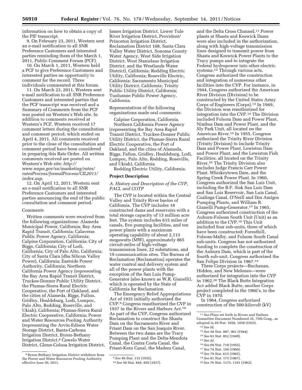information on how to obtain a copy of the PIF transcript.

9. On February 23, 2011, Western sent an e-mail notification to all SNR Preference Customers and interested parties reminding them of the March 1, 2011, Public Comment Forum (PCF).

10. On March 1, 2011, Western held a PCF to give Preference Customers and interested parties an opportunity to comment for the record. Three individuals commented at this forum.

11. On March 23, 2011, Western sent e-mail notification to all SNR Preference Customers and interested parties that the PCF transcript was received and a Summary of Comments from the PCF was posted on Western's Web site. In addition to comments received at Western's PCF, Western received 17 comment letters during the consultation and comment period, which ended on April 4, 2011. All comments received prior to the close of the consultation and comment period have been considered in preparing this Rate Order. All written comments received are posted on Western's Web site: *http:// www.wapa.gov/sn/marketing/rates/ ratesProcess/formalProcess/CIL2011/ index.asp*.

12. On April 12, 2011, Western sent an e-mail notification to all SNR Preference Customers and interested parties announcing the end of the public consultation and comment period.

## Comments

Written comments were received from the following organizations: Alameda Municipal Power, California; Bay Area Rapid Transit, California; Calaveras Public Power Agency, California; Calpine Corporation, California; City of Biggs, California; City of Lodi, California; City of Palo Alto, California; City of Santa Clara (dba Silicon Valley Power), California; Eastside Power Authority, California; Northern California Power Agency (representing the Bay Area Rapid Transit District, Truckee-Donner Public Utility District, the Plumas-Sierra Rural Electric Cooperative, the Port of Oakland, and the cities of Alameda, Biggs, Fallon, Gridley, Healdsburg, Lodi, Lompoc, Palo Alto, Redding, Roseville, and Ukiah), California; Plumas-Sierra Rural Electric Cooperative, California; Power and Water Resources Pooling Authority (representing the Arvin-Edison Water Storage District, Banta-Carbona Irrigation District, Byron-Bethany Irrigation District,8 Cawelo Water District, Glenn-Colusa Irrigation District,

8Byron Bethany Irrigation District withdrew from the Power and Water Resources Pooling Authority effective June 30, 2011.

James Irrigation District, Lower Tule River Irrigation District, Provident/ Princeton Irrigation District, Reclamation District 108, Santa Clara Valley Water District, Sonoma County Water Agency, West Side Irrigation District, West Stanislaus Irrigation District, and the Westlands Water District), California; Redding Electric Utility, California; Roseville Electric, California: Sacramento Municipal Utility District, California; Trinity Public Utility District, California; Tuolumne Public Power Agency, California.

Representatives of the following organizations made oral comments:

Calpine Corporation, California. Northern California Power Agency (representing the Bay Area Rapid Transit District, Truckee-Donner Public Utility District, the Plumas-Sierra Rural Electric Cooperative, the Port of Oakland, and the cities of Alameda, Biggs, Fallon, Gridley, Healdsburg, Lodi, Lompoc, Palo Alto, Redding, Roseville, and Ukiah), California

Redding Electric Utility, California.

#### **Project Description**

## *A. History and Description of the CVP, PACI, and COTP*

The CVP is located within the Central Valley and Trinity River basins of California. The CVP includes 18 constructed dams and reservoirs with a total storage capacity of 13 million acre feet. The system includes 615 miles of canals, five pumping facilities, and ten power plants with a maximum operating capability of about 2,113 megawatts (MW), approximately 865 circuit-miles of high-voltage transmission lines, 22 substations, and 19 communication sites. The Bureau of Reclamation (Reclamation) operates the water control and delivery system and all of the power plants with the exception of the San Luis Pump-Generator (also known as W.R. Gianelli), which is operated by the State of California for Reclamation.

The Emergency Relief Appropriations Act of 1935 initially authorized the CVP.9 Congress reauthorized the CVP in 1937 in the Rivers and Harbors Act.10 As part of the CVP, Congress authorized Reclamation to construct the Shasta Dam on the Sacramento River and Friant Dam on the San Joaquin River. Between the two dams are the Tracy Pumping Plant and the Delta-Mendota Canal, the Contra Costa Canal, the Friant-Kern Canal, the Madera Canal,

and the Delta Cross Channel.11 Power plants at Shasta and Keswick Dams were also included in the authorization, along with high-voltage transmission lines designed to transmit power from Shasta and Keswick Power Plants to the Tracy pumps and to integrate the Federal hydropower into other electric systems.12 Through various acts, Congress authorized the construction and integration of numerous other facilities into the CVP. For instance, in 1944, Congress authorized the American River Division (Division) to be constructed by the United States Army Corps of Engineers (Corps).13 In 1949, the Division was reauthorized for integration into the CVP.14 The Division included Folsom Dam and Power Plant, Nimbus Dam and Power Plant, and the Sly Park Unit, all located on the American River.15 In 1955, Congress authorized the Trinity River Division (Trinity Division) to include Trinity Dam and Power Plant, Lewiston Dam and Power Plant, and the Lewiston Fish Facilities, all located on the Trinity River.16 The Trinity Division also includes Judge Francis Carr Power Plant, Whiskeytown Dam, and the Spring Creek Power Plant. In 1960, Congress authorized the San Luis Unit, including the B.F. Sisk San Luis Dam and San Luis Reservoir, San Luis Canal, Coalinga Canal, O'Neill and Dos Amigos Pumping Plants, and William R. Gianelli Pump-Generator.17 In 1965, Congress authorized construction of the Auburn-Folsom South Unit (Unit) as an addition to the CVP.18 This Unit included four sub-units, three of which have been constructed: Foresthill, Folsom-Malby, and Folsom South Canal sub-units. Congress has not authorized funding to complete the construction of the Auburn Dam, which is part of the fourth sub-unit. Congress authorized the San Felipe Division in 1967.19

Three Corps projects—Buchanan, Hidden, and New Melones—were authorized for integration into the CVP in 1962.20 The Black Butte Integration Act added Black Butte, another Corps project completed in the 1960's, to the CVP in 1970.

In 1964, Congress authorized construction of the 500-kilovolt (kV)

- 13*See* 58 Stat. 887, 901 (1944).
- 14*See* 63 Stat. 852 (1949).
- 15*See Id.*
- 16*See* 69 Stat. 719 (1955). 17*See* 74 Stat. 156 (1960).
- 18*See* 79 Stat. 615 (1965).
- 19*See* 81 Stat. 173 (1967).

<sup>9</sup>*See* 49 Stat. 115 (1935).

<sup>10</sup>*See* 50 Stat. 844, 850 (1937).

<sup>11</sup>*See* Plans set forth in Rivers and Harbors Committee Document Numbered 35, 75th Cong., as adopted in 49 Stat. 1028, 1038 (1935).

<sup>12</sup>*See* Id.

<sup>20</sup>*See* 76 Stat. 1173, 1191 (1962).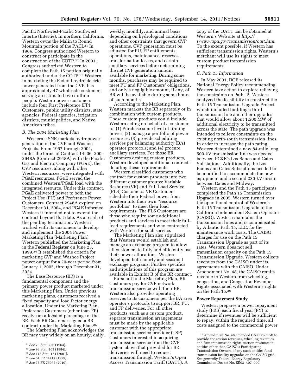weekly, monthly, and annual basis depending on hydrological conditions and other constraints that govern CVP operations. CVP generation must be adjusted for PU, FP entitlements, operations, maintenance, reserves, transformation losses, and certain ancillary services before determining the net CVP generation amount available for marketing. During some months, purchases may be required to meet PU and FP Customers' obligations, and only a negligible amount, if any, of BR will be available during some hours

According to the Marketing Plan, Western markets the BR separately or in combination with custom products. These custom products could include Western acting on behalf of a customer to: (1) Purchase some level of firming power; (2) manage a portfolio of power resources; (3) provide scheduling services per balancing authority (BA) operator protocols; and (4) procure ancillary services. For those BR Customers desiring custom products,

of such months.

Pacific Northwest-Pacific Southwest Intertie (Intertie). In northern California, Western owns the Malin to Round Mountain portion of the PACI.21 In 1984, Congress authorized Western to construct or participate in the construction of the COTP.22 In 2001, Congress authorized Western to complete the Path 15 portion originally authorized under the COTP.23 Western, in marketing the Federal hydroelectric power generated from the CVP, has approximately 47 wholesale customers serving an estimated two million people. Western power customers include four First Preference (FP) Customers, public utility districts, state agencies, Federal agencies, irrigation districts, municipalities, and Native American tribes.

#### *B. The 2004 Marketing Plan*

Western's SNR markets hydropower generation of the CVP and Washoe Projects. From 1967 through 2004, under the terms of Contract 14–06–200– 2948A (Contract 2948A) with the Pacific Gas and Electric Company (PG&E), the CVP resources, along with other Western resources, were integrated with PG&E resources. PG&E served the combined Western/PG&E load with the integrated resource. Under this contract, PG&E delivered power to both the Project Use (PU) and Preference Power Customers. Contract 2948A expired on December 31, 2004, and PG&E informed Western it intended not to extend the contract beyond that date. As a result of the pending termination, Western worked with its customers to develop and implement the 2004 Power Marketing Plan (Marketing Plan). Western published the Marketing Plan in the **Federal Register** on June 25, 1999.24 It established the criteria for marketing CVP and Washoe Project power output for a 20-year period from January 1, 2005, through December 31, 2024.

The Base Resource (BR) is a fundamental component and the primary power product marketed under this Marketing Plan. Under previous marketing plans, customers received a fixed capacity and load factor energy allocation. Under the Marketing Plan, Preference Customers (other than FP) receive an allocated percentage of the BR. Each BR Customer signed a BR contract under the Marketing Plan.25

The Marketing Plan acknowledges the BR may vary widely on an hourly, daily,

Western developed additional contracts detailing these requirements. Western classified customers who contract for custom products into two different customer groups: Variable Resource (VR) and Full Load Service

(FLS) Customers. VR Customers schedule their Federal power from Western into their own ''resource portfolios'' to meet their load requirements. The FLS Customers are those who require some additional products and services to meet their fullload requirements and who contracted with Western for such service. The Marketing Plan also stipulated

that Western would establish and manage an exchange program to allow all customers to fully and efficiently use their power allocations. Western developed both hourly and seasonal exchange programs. Further specifics and stipulations of this program are available in Exhibit B of the BR contract.

Pursuant to the Marketing Plan, BR Customers pay for CVP network transmission service with their BR. Western also provides operating reserves to its customers per the BA area operator's protocols to support BR, PU, and FP deliveries. For all other products, such as a custom product, separate transmission arrangements must be made by the applicable customer with the appropriate transmission service provider (TSP). Customers interested in acquiring transmission service from the CVP system above that provided for BR deliveries will need to request transmission through Western's Open Access Transmission Tariff (OATT). A

copy of the OATT can be obtained at Western's Web site at *http:// www.wapa.gov/transmission/oatt.htm*. To the extent possible, if Western has sufficient transmission rights, Western's merchant will use its rights to meet custom product transmission requirements.

#### *C. Path 15 Information*

In May 2001, DOE released its National Energy Policy recommending Western take action to explore relieving the constraints on Path 15. Western analyzed the feasibility to construct the Path 15 Transmission Upgrade Project which included building a third transmission line and other upgrades that would allow about 1,500 MW of additional electricity to be transmitted across the state. The path upgrade was intended to relieve constraints on the existing north-south transmission lines. In order to increase the path rating, Western determined a new 84-mile long, 500-kV transmission line was needed between PG&E's Los Banos and Gates Substations. Additionally, the Los Banos and Gates Substations needed to be modified to accommodate the new equipment and a second 230-kV circuit between Gates and Midway.

Western and the Path 15 participants completed the Path 15 Transmission Upgrade in 2005. Western turned over the operational control of Western's Path 15 Transmission Upgrade to the California Independent System Operator (CAISO). Western maintains the transmission lines and is compensated by Atlantic Path 15, LLC, for the maintenance work costs. The CAISO charges for use on the Path 15 Transmission Upgrade as part of its rates. Western does not sell transmission capacity on the Path 15 Transmission Upgrade. Western collects revenues from the CAISO under its agreements with the CAISO. Under Amendment No. 48, the CAISO remits revenue to Western from wheeling, congestion, and Congestion Revenue Rights associated with Western's rights on the Path 15.26

## **Power Repayment Study**

Western prepares a power repayment study (PRS) each fiscal year (FY) to determine if revenues will be sufficient to repay, within the required time, all costs assigned to the commercial power

<sup>21</sup>*See* 78 Stat. 756 (1964).

<sup>22</sup>*See* 98 Stat. 403 (1984).

<sup>23</sup>*See* 115 Stat. 174 (2001).

<sup>24</sup>*See* 64 FR 34417 (1999). 25*Se*e 75 FR 76975 (2010).

<sup>26</sup>Amendment No. 48 amended CAISO's tariff to provide congestion revenues, wheeling revenues, and firm transmission rights auction revenues to entities other than CAISO's Participating Transmission Owners, if any such entities fund transmission facility upgrades on the CAISO grid. *See generally* Federal Energy Regulatory Commission Docket No. ER03–407–000.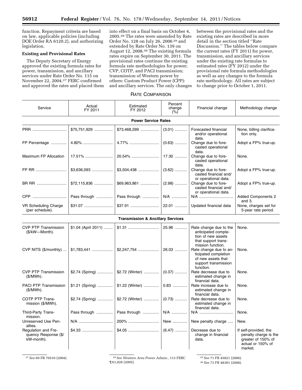function. Repayment criteria are based on law, applicable policies (including DOE Order RA 6120.2), and authorizing legislation.

# **Existing and Provisional Rates**

The Deputy Secretary of Energy approved the existing formula rates for power, transmission, and ancillary services under Rate Order No. 115 on November 22, 2004.27 FERC confirmed and approved the rates and placed them

into effect on a final basis on October 4, 2005.28 The rates were amended by Rate Order No. 128 on July 26, 2006 29 and extended by Rate Order No. 139 on August 12, 2008.30 The existing formula rates expire on September 30, 2011. The provisional rates continue the existing formula rate methodologies for power; CVP, COTP, and PACI transmission; transmission of Western power by others: Custom Product Power (CPP): and ancillary services. The only changes between the provisional rates and the existing rates are described in more detail in the section titled ''Rate Discussion.'' The tables below compare the current rates (FY 2011) for power, transmission, and ancillary services under the existing rate formulas to estimated rates (FY 2012) under the provisional rate formula methodologies as well as any changes to the formula rate methodology. All rates are subject to change prior to October 1, 2011.

# RATE COMPARISON

| Service                                                   | Actual<br>FY 2011          | Estimated<br>FY 2012                         | Percent<br>change<br>(%) | Financial change                                                                                                | Methodology change                                                                                   |  |  |  |
|-----------------------------------------------------------|----------------------------|----------------------------------------------|--------------------------|-----------------------------------------------------------------------------------------------------------------|------------------------------------------------------------------------------------------------------|--|--|--|
|                                                           | <b>Power Service Rates</b> |                                              |                          |                                                                                                                 |                                                                                                      |  |  |  |
| PRR                                                       | $$75,751,929$              | $$73,468,299$                                | $(3.01)$                 | Forecasted financial<br>and/or operational                                                                      | None, billing clarifica-<br>tion only.                                                               |  |  |  |
| FP Percentage                                             |                            |                                              | $(0.63)$                 | data.<br>Change due to fore-<br>casted operational<br>data.                                                     | Adopt a FP% true-up.                                                                                 |  |  |  |
| Maximum FP Allocation                                     |                            |                                              | 17.30                    | Change due to fore-<br>casted operational<br>data.                                                              | None.                                                                                                |  |  |  |
| FP RR                                                     |                            |                                              | $(3.62)$                 | Change due to fore-<br>casted financial and/<br>or operational data.                                            | Adopt a FP% true-up.                                                                                 |  |  |  |
| BR RR                                                     | $$72,115,836$              |                                              | $(2.98)$                 | Change due to fore-<br>casted financial and/<br>or operational data.                                            | Adopt a FP% true-up.                                                                                 |  |  |  |
| CPP                                                       | Pass through               | Pass through                                 | N/A                      | N/A                                                                                                             | <b>Added Components 2</b><br>and $3.$                                                                |  |  |  |
| VR Scheduling Charge<br>(per schedule).                   |                            |                                              |                          | Updated financial data                                                                                          | None, charges set for<br>5-year rate period.                                                         |  |  |  |
|                                                           |                            | <b>Transmission &amp; Ancillary Services</b> |                          |                                                                                                                 |                                                                                                      |  |  |  |
| <b>CVP PTP Transmission</b><br>(\$/kW—Month).             | \$1.04 (April 2011)        |                                              | 25.96                    | Rate change due to the<br>anticipated comple-<br>tion of new assets<br>that support trans-<br>mission function. | None.                                                                                                |  |  |  |
| CVP NITS (\$/monthly)                                     |                            |                                              |                          | Rate change due to an-<br>ticipated completion<br>of new assets that<br>support transmission<br>function.       | None.                                                                                                |  |  |  |
| <b>CVP PTP Transmission</b><br>$($/MWh)$ .                | \$2.74 (Spring)            | \$2.72 (Winter)                              | $(0.37)$                 | Rate decrease due to<br>estimated change in<br>financial data.                                                  | None.                                                                                                |  |  |  |
| <b>PACI PTP Transmission</b><br>$(S/MWh)$ .               | \$1.21 (Spring)            | \$1.22 (Winter)                              | $0.83$                   | Rate increase due to<br>estimated change in<br>financial data.                                                  | None.                                                                                                |  |  |  |
| COTP PTP Trans-<br>mission (\$/MWh).                      | \$2.74 (Spring)            | \$2.72 (Winter)                              | $(0.73)$                 | Rate decrease due to<br>estimated change in<br>financial data.                                                  | None.                                                                                                |  |  |  |
| Third-Party Trans-<br>mission.                            | Pass through               | Pass through                                 | N/A                      | N/A                                                                                                             | None.                                                                                                |  |  |  |
| Unreserved Use Pen-<br>alties.                            |                            | 200%                                         | New                      | New penalty charge                                                                                              | New.                                                                                                 |  |  |  |
| Regulation and Fre-<br>quency Response (\$/<br>kW-month). |                            |                                              | $(6.47)$                 | Decrease due to<br>change in financial<br>data.                                                                 | If self-provided, the<br>penalty charge is the<br>greater of 150% of<br>actual or 150% of<br>market. |  |  |  |

27*See* 69 FR 70510 (2004). 28*See Western Area Power Admin.,* 113 FERC ¶ 61,026 (2005).

29*See* 71 FR 45821 (2006).

30*See* 73 FR 48381 (2008).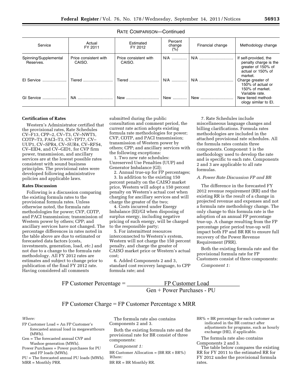## RATE COMPARISON—Continued

| Service                            | Actual<br>FY 2011               | Estimated<br>FY 2012            | Percent<br>change<br>(%) | Financial change | Methodology change                                                                                   |
|------------------------------------|---------------------------------|---------------------------------|--------------------------|------------------|------------------------------------------------------------------------------------------------------|
| Spinning/Supplemental<br>Reserves. | Price consistent with<br>CAISO. | Price consistent with<br>CAISO. | $N/A$                    |                  | If self-provided, the<br>penalty charge is the<br>greater of 150% of<br>actual or 150% of<br>market. |
| El Service                         | Tiered                          | Tiered                          | N/A                      | N/A              | Charge greater of<br>150% of actual or<br>150% of market.<br>Variable rate.                          |
| GI Service                         | NA.                             | New                             | New                      | New              | New tiered method-<br>ology similar to El.                                                           |

## **Certification of Rates**

Western's Administrator certified that the provisional rates, Rate Schedules CV–F13, CPP–2, CV–T3, CV–NWT5, COTP–T3, PACI–T3, CV–TPT7, CV– UUP1, CV–SPR4, CV–SUR4, CV–RFS4, CV–EID4, and CV–GID1, for CVP firm power, transmission, and ancillary services are at the lowest possible rates consistent with sound business principles. The provisional rates were developed following administrative policies and applicable laws.

#### **Rates Discussion**

Following is a discussion comparing the existing formula rates to the provisional formula rates. Unless otherwise noted, the formula rate methodologies for power; CVP, COTP, and PACI transmission; transmission of Western power by others; CPP; and ancillary services have not changed. The percentage differences in rates noted in the table above are due to estimated or forecasted data factors (costs, investments, generation, load, *etc.*) and not due to a change to the formula rate methodology. All FY 2012 rates are estimates and subject to change prior to publication of the final FY 2012 rate. Having considered all comments

submitted during the public consultation and comment period, the current rate action adopts existing formula rate methodologies for power; CVP, COTP, and PACI transmission; transmission of Western power by others; CPP; and ancillary services with the following exceptions:

1. Two new rate schedules: Unreserved Use Penalties (UUP) and Generator Imbalance (GI);

2. Annual true-up for FP percentages;

3. In addition to the existing 150 percent penalty on the CAISO market price, Western will adopt a 150 percent penalty on Western's actual cost when charging for ancillary services and will charge the greater of the two;

4. Costs incurred under Energy Imbalance (EI)/GI when disposing of surplus energy, including negative pricing of such energy, will be charged to the responsible party;

5. For intermittent resources interconnected to Western's system, Western will not charge the 150 percent penalty, and charge the greater of CAISO market price or Western's actual cost;

6. Added Components 2 and 3, standard cost recovery language, to CPP formula rate; and

7. Rate Schedules include miscellaneous language changes and billing clarifications. Formula rates methodologies are included in the attached provisional rate schedules. All the formula rates contain three components. Component 1 is the methodology used to develop the rate and is specific to each rate. Components 2 and 3 are applicable to all rate formulas.

# *A. Power Rate Discussion FP and BR*

The difference in the forecasted FY 2012 revenue requirement (RR) and the existing RR is the result of a change in projected revenue and expenses and not a formula rate methodology change. The only change to this formula rate is the adoption of an annual FP percentage true-up. A change resulting from the FP percentage prior period true-up will impact both FP and BR RR to ensure full recovery of the Power Revenue Requirement (PRR).

Both the existing formula rate and the provisional formula rate for FP Customers consist of three components:

*Component 1:* 

 $FP$  Customer Percentage =  $\_\_$ FP Customer Load

 $Gen + Power Purchases - PU$ 

# $FP$  Customer Charge =  $FP$  Customer Percentage x MRR

#### *Where:*

- FP Customer Load = An FP Customer's forecasted annual load in megawatthours (MWh).
- Gen = The forecasted annual CVP and Washoe generation (MWh).
- Power Purchases = Power purchases for PU and FP loads (MWh).
- PU = The forecasted annual PU loads (MWh). MRR = Monthly PRR.

The formula rate also contains Components 2 and 3.

Both the existing formula rate and the provisional rate for BR consist of three components:

# *Component 1:*

BR Customer Allocation =  $(BR RR \times BR)$ *Where:* 

BR RR = BR Monthly RR.

 $BR% = BR$  percentage for each customer as indicated in the BR contract after adjustments for programs, such as hourly exchange (HE), if applicable.

The formula rate also contains Components 2 and 3.

The table below compares the existing RR for FY 2011 to the estimated RR for FY 2012 under the provisional formula rates.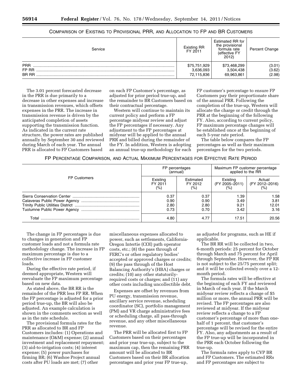# COMPARISON OF EXISTING TO PROVISIONAL PRR, AND ALLOCATION TO FP AND BR CUSTOMERS

| Service                             | <b>Existing RR</b><br>FY 2011           | Estimated RR for<br>the provisional<br>formula rate<br>(effective FY<br>2012) | Percent Change             |
|-------------------------------------|-----------------------------------------|-------------------------------------------------------------------------------|----------------------------|
| <b>PRR</b><br>FP RR<br><b>BR RR</b> | \$75,751,929<br>3,636,093<br>72,115,836 | \$73,468,299<br>3,504,438<br>69,963,861                                       | (3.01)<br>(3.62)<br>(2.98) |

The 3.01 percent forecasted decrease in the PRR is due primarily to a decrease in other expenses and increase in transmission revenues, which offsets expenses in the PRR. The increase in transmission revenue is driven by the anticipated completion of assets supporting the transmission function. As indicated in the current rate structure, the power rates are published annually by September 30 and reviewed during March of each year. The annual PRR is allocated to FP Customers based

on each FP Customer's percentage, as adjusted for prior period true-up, and the remainder to BR Customers based on their contractual percentage.

Western will continue to maintain its current policy and perform a FP percentage midyear review and adjust the FP percentages if necessary. Any adjustment to the FP percentages at midyear will be applied to the annual PRR and billed during the remainder of the FY. In addition, Western is adopting an annual true-up methodology for each

FP customer's percentage to ensure FP Customers pay their proportionate share of the annual PRR. Following the completion of the true-up, Western will allocate the charge or credit through the PRR at the beginning of the following FY. Also, according to current policy, FP maximum percentage changes will be established once at the beginning of each 5-year rate period.

The table below compares the FP percentages as well as their maximum percentages for the two periods.

|  |  |  | FP PERCENTAGE COMPARISON, AND ACTUAL MAXIMUM PERCENTAGES FOR EFFECTIVE RATE PERIOD |
|--|--|--|------------------------------------------------------------------------------------|
|--|--|--|------------------------------------------------------------------------------------|

|                     |          | FP percentages<br>(annual) | Maximum FP customer percentage<br>applied to the RR |                |  |
|---------------------|----------|----------------------------|-----------------------------------------------------|----------------|--|
| <b>FP Customers</b> | Existing | Estimated                  | Existing                                            | Actual         |  |
|                     | FY 2011  | FY 2012                    | (FY 2005-2011)                                      | (FY 2012-2016) |  |
|                     | (%)      | (%)                        | (%)                                                 | (%)            |  |
|                     | 0.37     | 0.37                       | 1.39                                                | 1.58           |  |
|                     | 0.90     | 0.90                       | 3.49                                                | 3.81           |  |
|                     | 2.80     | 2.80                       | 9.21                                                | 12.01          |  |
|                     | 0.73     | 0.70                       | 3.42                                                | 3.16           |  |
| T∩tal               | 4.80     | 4.77                       | 17.51                                               | 20.56          |  |

The change in FP percentages is due to changes in generation and FP customer loads and not a formula rate methodology change. The increase in FP maximum percentage is due to a collective increase in FP customer loads.

During the effective rate period, if deemed appropriate, Western will reevaluate the FP maximum percentage based on new data.

As stated above, the BR RR is the remainder of the PRR less FP RR. When the FP percentage is adjusted for a prior period true-up, the BR will also be adjusted. An example calculation is shown in the comments section as well as in the rate schedule.

The provisional formula rates for the PRR as allocated to BR and FP Customers includes: (1) Operations and maintenance (O&M) expense; (2) annual investment and replacement repayment; (3) aid-to-irrigation costs; (4) interest expense; (5) power purchases for firming BR; (6) Washoe Project annual costs after PU loads are met; (7) other

miscellaneous expenses allocated to power, such as settlements, California-Oregon Intertie (COI) path operator costs, etc.; (8) the pass through of FERC's or other regulatory bodies' accepted or approved charges or credits; (9) the pass through of the Host Balancing Authority's (HBA) charges or credits; (10) any other statutorilyrequired costs or charges; and (11) any other costs including uncollectible debt.

Expenses are offset by revenues from PU energy, transmission revenue, ancillary service revenue, scheduling coordinator (SC), portfolio management (PM) and VR charge administrative fees or scheduling charge, all pass-through revenue, and any other miscellaneous revenue.

The PRR will be allocated first to FP Customers based on their percentages and prior year true-up, subject to the maximum cap, then the remaining PRR amount will be allocated to BR Customers based on their BR allocation percentages and prior year FP true-up,

as adjusted for programs, such as HE if applicable.

The BR RR will be collected in two, 6-month periods: 25 percent for October through March and 75 percent for April through September. However, the FP RR is not subject to the 25/75 percent split; and it will be collected evenly over a 12 month period.

The formula rates will be effective at the beginning of each FY and reviewed in March of each year. If the March midyear review reflects a change of \$5 million or more, the annual PRR will be revised. The FP percentages are also reviewed at midyear. If the midyear review reflects a change to a FP customer's percentage of more than onehalf of 1 percent, that customer's percentage will be revised for the entire FY. Also, any adjustments as a result of the FP true-up will be incorporated in the PRR each October following the true-up.

The formula rates apply to CVP BR and FP Customers. The estimated RRs and FP percentages are subject to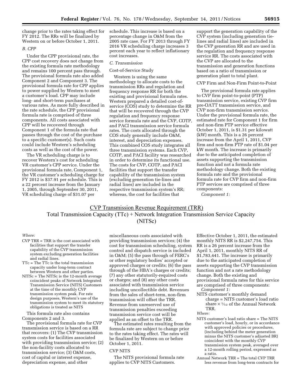change prior to the rates taking effect for FY 2012. The RRs will be finalized by Western on or before October 1, 2011.

## *B. CPP*

Under the CPP provisional rate, the CPP cost recovery does not change from the existing formula rate methodology and remains 100 percent pass through. The provisional formula rate also added Component 2 and Component 3. The provisional formula rate for CPP applies to power supplied by Western to meet a customer's load. CPP may include long- and short-term purchases at various rates. As more fully described in the rate schedule, the CPP provisional formula rate is comprised of three components. All costs associated with CPP will be recovered through Component 1 of the formula rate that passes through the cost of the purchase to a specific customer(s). Such costs could include Western's scheduling costs as well as the cost of the power.

The VR scheduling charge is to recover Western's cost for scheduling VR customer's CPP service. Under the provisional formula rate, Component 1, the VR customer's scheduling charge for FY 2012 is \$37.91 per schedule. This is a 22 percent increase from the January 1, 2005, through September 30, 2011, VR scheduling charge of \$31.07 per

schedule. This increase is based on a percentage change in O&M from the 2005 rate case. For FY 2013 through FY 2016 VR scheduling charge increases 3 percent each year to reflect inflationary cost increases.

#### *C. Transmission*

Cost-of-Service Study

Western is using the same methodology to allocate costs to the transmission RRs and regulation and frequency response RR for both the existing and provisional formula rates. Western prepared a detailed cost-ofservice (COS) study to determine the RR that will be recovered through the CVP regulation and frequency response service formula rate and the CVP, COTP, and PACI transmission service formula rates. The costs allocated through the COS study generally include O&M, interest, and depreciation expenses. This combined COS study integrates all three transmission systems. Each CVP, COTP, and PACI facility was researched in order to determine its functional use. The costs for CVP, COTP, and PACI facilities that support the transfer capability of the transmission system (excluding generation tie-lines and radial lines) are included in the respective transmission system's RR; whereas, the cost for facilities that

support the generation capability of the CVP system (including generation tielines and radial lines) are included in the CVP generation RR and are used in the regulation and frequency response service RR. The costs associated with the CVP are allocated to the transmission and generation functions based on a ratio of transmission or generation plant to total plant.

#### CVP Firm and Non-Firm Point-to-Point

The provisional formula rate applies to CVP firm point-to-point (PTP) transmission service, existing CVP firm pre-OATT transmission service, and CVP non-firm transmission service. Under the provisional formula rate, the estimated rate for Component 1 for firm and non-firm PTP service effective October 1, 2011, is \$1.31 per kilowatt (kW) month. This is a 26 percent increase from the April 1, 2011, CVP firm and non-firm PTP rate of \$1.04 per kW month. The increase is primarily due to the anticipated completion of assets supporting the transmission function and not a formula rate methodology change. Both the existing formula rate and the provisional formula rate for CVP firm and non-firm PTP services are comprised of three components:

*Component 1:* 

# **CVP Transmission Revenue Requirement (TRR)** Total Transmission Capacity (TTc) + Network Integration Transmission Service Capacity (NITSc)

#### *Where:*

- CVP TRR = TRR is the cost associated with facilities that support the transfer capability of the CVP transmission system excluding generation facilities and radial lines.
- TTc = The TTc is the total transmission capacity under long-term contract between Western and other parties.
- NITSc = The NITSc is the 12-month average coincident peaks of Network Integrated Transmission Service (NITS) Customers at the time of the monthly CVP transmission system peak. For rate design purposes, Western's use of the transmission system to meet its statutory obligations is treated as NITS

This formula rate also contains Components 2 and 3.

The provisional formula rate for CVP transmission service is based on a RR that recovers: (1) The CVP transmission system costs for facilities associated with providing transmission service; (2) the non-facility costs allocated to transmission service; (3) O&M costs, cost of capital or interest expense, depreciation expense, and other

miscellaneous costs associated with providing transmission services; (4) the cost for transmission scheduling, system control and dispatch service is included in O&M; (5) the pass through of FERC's or other regulatory bodies' accepted or approved charges or credits; (6) the pass through of the HBA's charges or credits; (7) any other statutorily-required costs or charges; and (8) any other costs associated with transmission service including uncollectible debt. Revenues from the sales of short-term, non-firm transmission will offset the TRR. Revenue from unreserved use of transmission penalties exceeding transmission service cost will be applied as an offset to the TRR.

The estimated rates resulting from the formula rate are subject to change prior to the rates taking effect. The rates will be finalized by Western on or before October 1, 2011.

#### CVP NITS

The NITS provisional formula rate applies to CVP NITS Customers.

Effective October 1, 2011, the estimated monthly NITS RR is \$2,247,754. This RR is a 26 percent increase from the April 1, 2011, monthly NITS RR of \$1,783,441. The increase is primarily due to the anticipated completion of assets supporting the CVP transmission function and not a rate methodology change. Both the existing and provisional formula rates for this service are comprised of three components: *Component 1:* 

NITS customer's monthly demand charge = NITS customer's load ratio share  $\times$  1/12 of the Annual Network TRR.

#### *Where:*

- NITS customer's load ratio share = The NITS customer's load, hourly, or in accordance with approved policies or procedures, (including behind the meter generation minus the NITS customer's adjusted BR) coincident with the monthly CVP transmission system peak, averaged over a 12-month rolling period, expressed as a ratio.
- Annual Network TRR = The total CVP TRR less revenue from long-term contracts for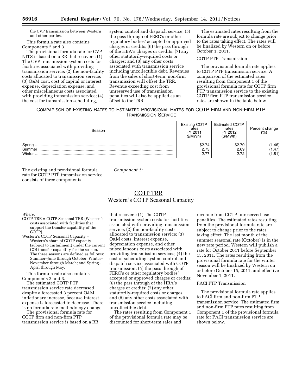the CVP transmission between Western and other parties.

This formula rate also contains Components 2 and 3.

The provisional formula rate for CVP NITS is based on a RR that recovers: (1) The CVP transmission system costs for facilities associated with providing transmission service; (2) the non-facility costs allocated to transmission service; (3) O&M cost, cost of capital or interest expense, depreciation expense, and other miscellaneous costs associated with providing transmission service; (4) the cost for transmission scheduling,

system control and dispatch service; (5) the pass through of FERC's or other regulatory bodies' accepted or approved charges or credits; (6) the pass through of the HBA's charges or credits; (7) any other statutorily-required costs or charges; and (8) any other costs associated with transmission service including uncollectible debt. Revenues from the sales of short-term, non-firm transmission will offset the TRR. Revenue exceeding cost from unreserved use of transmission penalties will also be applied as an offset to the TRR.

The estimated rates resulting from the formula rate are subject to change prior to the rates taking effect. The rates will be finalized by Western on or before October 1, 2011.

COTP PTP Transmission

The provisional formula rate applies to COTP PTP transmission service. A comparison of the estimated rates resulting from Component 1 of the provisional formula rate for COTP firm PTP transmission service to the existing COTP firm PTP transmission service rates are shown in the table below.

# COMPARISON OF EXISTING RATES TO ESTIMATED PROVISIONAL RATES FOR COTP FIRM AND NON-FIRM PTP TRANSMISSION SERVICE

| Season                     | <b>Existing COTP</b><br>rates<br>FY 2011<br>\$/MWh) | <b>Estimated COTP</b><br>rates<br>FY 2012<br>(S/MWh) | Percent change<br>(%)     |
|----------------------------|-----------------------------------------------------|------------------------------------------------------|---------------------------|
| Spring<br>Summer<br>Winter | \$2.74<br>2.73                                      | \$2.70<br>2.69<br>2.72                               | 1.46)<br>(1.47)<br>(1.81) |

The existing and provisional formula rate for COTP PTP transmission service consists of three components.

*Component 1:* 

# **COTP TRR** Western's COTP Seasonal Capacity

*Where:* 

- COTP TRR = COTP Seasonal TRR (Western's costs associated with facilities that support the transfer capability of the COTP).
- Western's COTP Seasonal Capacity = Western's share of COTP capacity (subject to curtailment) under the current COI transfer capability for the season. The three seasons are defined as follows: Summer–June through October; Winter– November through March; and Spring– April through May.

This formula rate also contains Components 2 and 3.

The estimated COTP PTP transmission service rate decreased despite a forecasted 3 percent O&M inflationary increase, because interest expense is forecasted to decrease. There is no formula rate methodology change.

The provisional formula rate for COTP firm and non-firm PTP transmission service is based on a RR

that recovers: (1) The COTP transmission system costs for facilities associated with providing transmission service; (2) the non-facility costs allocated to transmission service; (3) O&M costs, interest expense, depreciation expense, and other miscellaneous costs associated with providing transmission services; (4) the cost of scheduling system control and dispatch service associated with COTP transmission; (5) the pass through of FERC's or other regulatory bodies' accepted or approved charges or credits; (6) the pass through of the HBA's charges or credits; (7) any other statutorily-required costs or charges; and (8) any other costs associated with transmission service including uncollectible debt.

The rates resulting from Component 1 of the provisional formula rate may be discounted for short-term sales and

revenue from COTP unreserved use penalties. The estimated rates resulting from the provisional formula rate are subject to change prior to the rates taking effect. The last month of the summer seasonal rate (October) is in the new rate period. Western will publish a rate for October 2011 before September 15, 2011. The rates resulting from the provisional formula rate for the winter season will be finalized by Western on or before October 15, 2011, and effective November 1, 2011.

#### PACI PTP Transmission

The provisional formula rate applies to PACI firm and non-firm PTP transmission service. The estimated firm and non-firm PTP rates resulting from Component 1 of the provisional formula rate for PACI transmission service are shown below.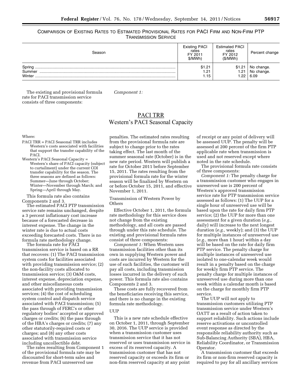COMPARISON OF EXISTING RATES TO ESTIMATED PROVISIONAL RATES FOR PACI FIRM AND NON-FIRM PTP TRANSMISSION SERVICE

| Season                     | <b>Existing PACI</b><br>rates<br>FY 2011<br>\$/MWh) | <b>Estimated PACI</b><br>rates<br>FY 2012<br>(S/MWh) | Percent change                   |
|----------------------------|-----------------------------------------------------|------------------------------------------------------|----------------------------------|
| Spring<br>Summer<br>Winter | \$1.21<br>1.21<br>1.15                              | \$1.21<br>1.21<br>.22                                | No change.<br>No change.<br>6.09 |

The existing and provisional formula rate for PACI transmission service consists of three components:

*Component 1:* 

# PACI TRR Western's PACI Seasonal Capacity

Where:

PACI TRR = PACI Seasonal TRR includes Western's costs associated with facilities that support the transfer capability of the PACI.

Western's PACI Seasonal Capacity = Western's share of PACI capacity (subject to curtailment) under the current COI transfer capability for the season. The three seasons are defined as follows: Summer—June through October; Winter—November through March; and Spring—April through May.

This formula rate also contains Components 2 and 3.

The estimated PACI PTP transmission service rate remains unchanged, despite a 3 percent inflationary cost increase because of a forecasted decrease in interest expense. The change in the winter rate is due to actual costs exceeding forecasted costs. There is no formula rate methodology change.

The formula rate for PACI transmission service is based on a RR that recovers: (1) The PACI transmission system costs for facilities associated with providing transmission service; (2) the non-facility costs allocated to transmission service; (3) O&M costs, interest expense, depreciation expense, and other miscellaneous costs associated with providing transmission services; (4) the cost of scheduling system control and dispatch service associated with PACI transmission; (5) the pass through of FERC's or other regulatory bodies' accepted or approved charges or credits; (6) the pass through of the HBA's charges or credits; (7) any other statutorily-required costs or charges; and (8) any other costs associated with transmission service including uncollectible debt.

The rates resulting from Component 1 of the provisional formula rate may be discounted for short-term sales and revenue from PACI unreserved use

penalties. The estimated rates resulting from the provisional formula rate are subject to change prior to the rates taking effect. The last month of the summer seasonal rate (October) is in the new rate period. Western will publish a rate for October 2011 before September 15, 2011. The rates resulting from the provisional formula rate for the winter season will be finalized by Western on or before October 15, 2011, and effective November 1, 2011.

Transmission of Western Power by Others

Effective October 1, 2011, the formula rate methodology for this service does not change from the existing methodology, and all costs are passed through under this rate schedule. The existing and provisional formula rates consist of three components:

*Component 1:* When Western uses transmission facilities other than its own in supplying Western power and costs are incurred by Western for the use of such facilities, the customer will pay all costs, including transmission losses incurred in the delivery of such power. This formula rate also contains Components 2 and 3.

These costs are fully recovered from the beneficiaries receiving this service, and there is no change in the existing formula rate methodology.

# **UUP**

This is a new rate schedule effective on October 1, 2011, through September 30, 2016. The UUP service is provided when a transmission customer uses transmission service that it has not reserved or uses transmission service in excess of its reserved capacity. A transmission customer that has not reserved capacity or exceeds its firm or non-firm reserved capacity at any point

of receipt or any point of delivery will be assessed UUP. The penalty will be assessed at 200 percent of the firm PTP applicable rate when transmission is used and not reserved except where noted in the rate schedule.

The provisional formula rate consists of three components:

*Component 1:* The penalty charge for a transmission customer who engages in unreserved use is 200 percent of Western's approved transmission service rate for PTP transmission service assessed as follows: (1) The UUP for a single hour of unreserved use will be based upon the rate for daily firm PTP service; (2) the UUP for more than one assessment for a given duration (*e.g.,*  daily) will increase to the next longest duration (*e.g.,* weekly); and (3) the UUP for multiple instances of unreserved use (*e.g.,* more than 1 hour) within a day will be based on the rate for daily firm PTP service. The penalty charge for multiple instances of unreserved use isolated to one-calendar week would result in a penalty based on the charge for weekly firm PTP service. The penalty charge for multiple instances of unreserved use during more than one week within a calendar month is based on the charge for monthly firm PTP service.

The UUP will not apply to transmission customers utilizing PTP transmission service under Western's OATT as a result of action taken to support reliability. Such actions include reserve activations or uncontrolled event response as directed by the responsible reliability authority such as Sub-Balancing Authority (SBA), HBA, Reliability Coordinator, or Transmission Operator.

A transmission customer that exceeds its firm or non-firm reserved capacity is required to pay for all ancillary services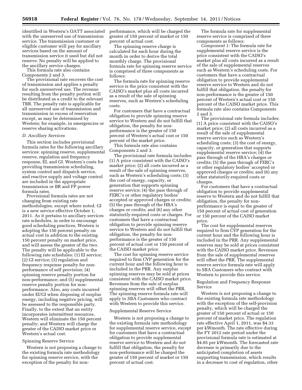identified in Western's OATT associated with the unreserved use of transmission service. The transmission customer or eligible customer will pay for ancillary services based on the amount of transmission service it used but did not reserve. No penalty will be applied to the ancillary service charges.

This formula rate also contains Components 2 and 3.

The provisional rate recovers the cost of transmission and applies a penalty for such unreserved use. The revenue resulting from the penalty portion will be distributed as a credit to the relevant TRR. The penalty rate is applicable for all unreserved use of transmission and transmission in excess of reservation except, as may be determined by Western; for example, in emergencies or reserve sharing activations.

#### *D. Ancillary Services*

This section includes provisional formula rates for the following ancillary services: spinning reserve, supplemental reserve, regulation and frequency response, EI, and GI. Western's costs for providing transmission scheduling, system control and dispatch service, and reactive supply and voltage control are included in the appropriate transmission or BR and FP power formula rates.

Provisional formula rates are not changing from existing rate methodologies, except where noted. GI is a new service effective October 1, 2011. As it pertains to ancillary services rate schedules, in order to encourage good scheduling practices, Western is adopting the 150 percent penalty on actual cost in addition to the existing 150 percent penalty on market price, and will assess the greater of the two. The penalty will be applicable to the following rate schedules: (1) EI service; (2) GI service; (3) regulation and frequency response penalty for nonperformance of self provision; (4) spinning reserve penalty portion for non-performance; and (5) supplemental reserve penalty portion for nonperformance. Also, any costs incurred under EI/GI when disposing of surplus energy, including negative pricing, will be assessed to the responsible party. Finally, to the extent that an entity incorporates intermittent resources, Western will eliminate the 150 percent penalty; and Western will charge the greater of the CAISO market price or Western's actual cost.

#### Spinning Reserve Service

Western is not proposing a change to the existing formula rate methodology for spinning reserve service, with the exception of the penalty for nonperformance, which will be charged the greater of 150 percent of market or 150 percent of actual cost.

The spinning reserve charge is calculated for each hour during the month in order to derive the total monthly charge. The provisional formula rate for spinning reserve service is comprised of three components as follows:

The formula rate for spinning reserve service is the price consistent with the CAISO's market plus all costs incurred as a result of the sale of spinning reserves, such as Western's scheduling costs.

For customers that have a contractual obligation to provide spinning reserve service to Western and do not fulfill that obligation, the penalty for nonperformance is the greater of 150 percent of Western's actual cost or 150 percent of the market price.

This formula rate also contains Components 2 and 3.

The provisional rate formula includes: (1) A price consistent with the CAISO's market price; (2) all costs incurred as a result of the sale of spinning reserves, such as Western's scheduling costs; (3) the cost of energy, capacity, or generation that supports spinning reserve service; (4) the pass through of FERC's or other regulatory bodies' accepted or approved charges or credits; (5) the pass through of the HBA's charges or credits; and (6) any other statutorily-required costs or charges. For customers that have a contractual obligation to provide spinning reserve service to Western and do not fulfill that obligation, the penalty for nonperformance is the greater of 150 percent of actual cost or 150 percent of the CAISO market price.

The cost for spinning reserve service required to firm CVP generation for the current hour and the following hour is included in the PRR. Any surplus spinning reserves may be sold at prices consistent with the CAISO market price. Revenues from the sale of surplus spinning reserves will offset the PRR. The spinning reserve formula rate will apply to SBA Customers who contract with Western to provide this service.

#### Supplemental Reserve Service

Western is not proposing a change to the existing formula rate methodology for supplemental reserve service, except for customers that have a contractual obligation to provide supplemental reserve service to Western and do not fulfill that obligation, the penalty for non-performance will be charged the greater of 150 percent of market or 150 percent of actual cost.

The formula rate for supplemental reserve service is comprised of three components as follows:

*Component 1:* The formula rate for supplemental reserve service is the price consistent with the CAISO's market plus all costs incurred as a result of the sale of supplemental reserves such as Western's scheduling costs. For customers that have a contractual obligation to provide supplemental reserve service to Western and do not fulfill that obligation, the penalty for non-performance is the greater of 150 percent of Western's actual cost or 150 percent of the CAISO market price. This formula rate also contains Components 2 and 3.

The provisional rate formula includes: (1) A price consistent with the CAISO's market price; (2) all costs incurred as a result of the sale of supplemental reserve service such as Western's scheduling costs; (3) the cost of energy, capacity, or generation that supports supplemental reserve service; (4) the pass through of the HBA's charges or credits; (5) the pass through of FERC's or other regulatory bodies' accepted or approved charges or credits; and (6) any other statutorily-required costs or charges.

For customers that have a contractual obligation to provide supplemental reserve to Western and do not fulfill that obligation, the penalty for nonperformance is equal to the greater of 150 percent of actual cost of generation or 150 percent of the CAISO market price.

The cost for supplemental reserves required to firm CVP generation for the current hour and the following hour is included in the PRR. Any supplemental reserves may be sold at prices consistent with the CAISO market price. Revenues from the sale of supplemental reserves will offset the PRR. The supplemental reserve service formula rate will apply to SBA Customers who contract with Western to provide this service.

#### Regulation and Frequency Response Service

Western is not proposing a change to the existing formula rate methodology with the exception of the self-provision penalty, which will be charged the greater of 150 percent of actual or 150 percent of market price. The regulation rate effective April 1, 2011, was \$4.33 per kWmonth. The rate effective during the FY 2012 rate period under the provisional formula rate is estimated at \$4.05 per kWmonth. The forecasted rate decrease is primarily due to the anticipated completion of assets supporting transmission, which results in a decrease to cost of regulation, other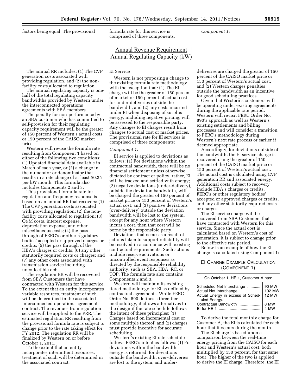factors being equal. The provisional formula rate for this service is

comprised of three components.

*Component 1:* 

# Annual Revenue Requirement Annual Regulating Capacity (kW)

### The annual RR includes: (1) The CVP generation costs associated with providing regulation, and (2) the nonfacility costs allocated to regulation.

The annual regulating capacity is onehalf of the total regulating capacity bandwidths provided by Western under the interconnected operations agreements with SBA members.

The penalty for non-performance by an SBA customer who has committed to self-provision for their regulating capacity requirement will be the greater of 150 percent of Western's actual costs or 150 percent of the CAISO market price.

Western will revise the formula rate resulting from Component 1 based on either of the following two conditions: (1) Updated financial data available in March of each year, or (2) a change in the numerator or denominator that results in a rate change of at least \$0.25 per kW month. This formula also includes Components 2 and 3.

This provisional formula rate for regulation and frequency response is based on an annual RR that recovers: (1) The CVP generation costs associated with providing regulation; (2) the nonfacility costs allocated to regulation; (3) O&M costs, interest expense, depreciation expense, and other miscellaneous costs; (4) the pass through of FERC's or other regulatory bodies' accepted or approved charges or credits; (5) the pass through of the HBA's charges or credits; (6) any other statutorily required costs or charges; and (7) any other costs associated with transmission service including uncollectible debt.

The regulation RR will be recovered from SBA Customers that have contracted with Western for this service. To the extent that an entity incorporates variable resources, treatment of such will be determined in the associated interconnected operations agreement contract. The revenues from regulation service will be applied to the PRR. The estimated regulation RR resulting from the provisional formula rate is subject to change prior to the rate taking effect for FY 2012. The regulation RR will be finalized by Western on or before October 1, 2011.

To the extent that an entity incorporates intermittent resources, treatment of such will be determined in the associated contract.

#### EI Service

Western is not proposing a change to the existing formula rate methodology with the exception that: (1) The EI charge will be the greater of 150 percent of market or 150 percent of actual cost for under-deliveries outside the bandwidth, and (2) any costs incurred under EI when disposing of surplus energy, including negative pricing, will be assessed to the responsible party. Any changes to EI charges result from changes to actual cost or market prices. The provisional rate for EI services is comprised of three components:

#### *Component 1:*

EI service is applied to deviations as follows: (1) For deviations within the contractual bandwidth, there will be no financial settlement unless otherwise dictated by contract or policy, rather, EI will be tracked and settled with energy; (2) negative deviations (under-delivery), outside the deviation bandwidth, will be charged the greater of 150 percent of market price or 150 percent of Western's actual cost; and (3) positive deviations (over-delivery) outside the deviation bandwidth will be lost to the system, except for any hour where Western incurs a cost, then that cost will be borne by the responsible party.

Deviations that occur as a result of actions taken to support reliability will be resolved in accordance with existing contractual requirements. Such actions include reserve activations or uncontrolled event responses as directed by the responsible reliability authority, such as SBA, HBA, RC, or TOP. The formula rate also contains Components 2 and 3.

Western will maintain its existing tiered methodology for EI as defined by contractual agreements. While FERC Order No. 890 defines a three-tier methodology, it allows alternatives to the design if the rate schedule follows the intent of these principles: (1) Charges based on incremental cost or some multiple thereof, and (2) charges must provide incentive for accurate scheduling.

Western's existing EI rate schedule follows FERC's intent as follows: (1) For deviations within the bandwidth, energy is returned; for deviations outside the bandwidth, over-deliveries are lost to the system; and underdeliveries are charged the greater of 150 percent of the CAISO market price or 150 percent of Western's actual cost, and (2) Western charges penalties outside the bandwidth as an incentive for good scheduling practices.

Given that Western's customers will be operating under existing agreements during the applicable rate period, Western will revisit FERC Order No. 890's approach as well as Western's existing settlements and billing processes and will consider a transition to FERC's methodology during Western's next rate process or earlier if deemed appropriate.

Accordingly, for deviations outside of the bandwidth, the EI service charge is recovered using the greater of 150 percent of the CAISO market price or 150 percent of Western's actual cost. The actual cost is calculated using CVP generation RR and associated energy. Additional costs subject to recovery include HBA's charges or credits, FERC's or other regulatory bodies' accepted or approved charges or credits, and any other statutorily required costs or charges.

The EI service charge will be recovered from SBA Customers that have contracted with Western for this service. Since the actual cost is calculated based on Western's cost of generation, it is subject to change prior to the effective rate period.

Below is an example of how the EI charge is calculated using Component 1:

# EI CHARGE EXAMPLE CALCULATION (COMPONENT 1)

On October 1, HE 1, Customer A has: Scheduled Net Interchange ............. | 90 MW Actual Net Interchange ................... 102 MW Actual Energy in excess of Scheduled Energy. 12 MW Contractual Bandwidth .................... 8 MW EI for HE 1 ...................................... 4 MW

To derive the total monthly charge for Customer A, the EI is calculated for each hour that it occurs during the month.

The EI charge is based upon a comparison between the real-time energy pricing from the CAISO for each hour and Western's actual cost, both multiplied by 150 percent, for that same hour. The higher of the two is applied to derive the EI charge. Therefore, the EI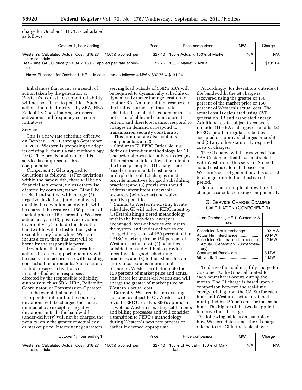charge for October 1, HE 1, is calculated as follows:

| October 1, hour ending 1                                                               | Price   | Price comparison               | MW  | Charge   |
|----------------------------------------------------------------------------------------|---------|--------------------------------|-----|----------|
| Western's Calculated Actual Cost (\$18.27 $\times$ 150%) applied per<br>rate schedule. | \$27.40 | 150% Actual $<$ 150% of Market | N/A | N/A      |
| Real-Time CAISO price (\$21.84 $\times$ 150%) applied per rate sched-<br>ule.          | 32.76   | 150% Market > Actual           |     | \$131.04 |

**Note:** EI charge for October 1, HE 1, is calculated as follows:  $4 MW \times $32.76 = $131.04$ .

Imbalances that occur as a result of action taken by the generator, at Western's request, to support reliability will not be subject to penalties. Such actions include directives by SBA, HBA, Reliability Coordinators, or reserve activations and frequency correction initiatives.

#### Service

This is a new rate schedule effective on October 1, 2011, through September 30, 2016. Western is proposing to adopt its existing EI formula rate methodology for GI. The provisional rate for this service is comprised of three components:

*Component 1:* GI is applied to deviations as follows: (1) For deviations within the bandwidth, there will be no financial settlement, unless otherwise dictated by contract; rather, GI will be tracked and settled with energy; (2) negative deviations (under-delivery), outside the deviation bandwidth, will be charged the greater of 150 percent of market price or 150 percent of Western's actual cost; and (3) positive deviations (over-delivery), outside the deviation bandwidth, will be lost to the system, except for any hour where Western incurs a cost, then that cost will be borne by the responsible party.

Deviations that occur as a result of actions taken to support reliability will be resolved in accordance with existing contractual requirements. Such actions include reserve activations or uncontrolled event responses as directed by the responsible reliability authority such as SBA, HBA, Reliability Coordinator, or Transmission Operator.

To the extent that an entity incorporates intermittent resources, deviations will be charged the same as defined above except for negative deviations outside the bandwidth (under-delivery) will not be charged the penalty, only the greater of actual cost or market price. Intermittent generators

serving load outside of SNR's SBA will be required to dynamically schedule or dynamically meter their generation to another BA. An intermittent resource for the limited purpose of these rate schedules is an electric generator that is not dispatchable and cannot store its output, and therefore, cannot respond to changes in demand or respond to transmission security constraints.

This formula rate also contains Components 2 and 3.

Similar to EI, FERC Order No. 890 defines a three-tier methodology for GI. The order allows alternatives to designs if the rate schedule follows the intent of the three principles: (1) Charges are based on incremental cost or some multiple thereof; (2) charges must provide incentives for good scheduling practices; and (3) provisions should address intermittent renewable resources (wind/solar) and waive punitive penalties.

Similar to Western's existing EI rate schedule, GI will follow FERC intent by: (1) Establishing a tiered methodology; within the bandwidth, energy is exchanged, over-deliveries are lost to the system, and under-deliveries are charged the greater of 150 percent of the CAISO market price or 150 percent of Western's actual cost; (2) penalties outside the bandwidth also provide incentives for good scheduling practices; and (3) to the extent that an entity incorporates intermittent resources, Western will eliminate the 150 percent of market price and actual cost factor for under-deliveries and will charge the greater of market price or Western's actual cost.

Currently, Western has no existing customers subject to GI. Western will revisit FERC Order No. 890's approach as well as Western's existing settlements and billing processes and will consider a transition to FERC's methodology during Western's next rate process or earlier if deemed appropriate.

Accordingly, for deviations outside of the bandwidth, the GI charge is recovered using the greater of 150 percent of the market price or 150 percent of Western's actual cost. The actual cost is calculated using CVP generation RR and associated energy. Additional costs subject to recovery include: (1) HBA's charges or credits; (2) FERC's or other regulatory bodies' accepted or approved charges or credits; and (3) any other statutorily required costs or charges.

The GI charge will be recovered from SBA Customers that have contracted with Western for this service. Since the actual cost is calculated based on Western's cost of generation, it is subject to change prior to the effective rate period.

Below is an example of how the GI charge is calculated using Component 1.

# GI SERVICE CHARGE EXAMPLE CALCULATION (COMPONENT 1)

| If, on October 1, HE 1, Customer A<br>has:                                                                                           |                                 |
|--------------------------------------------------------------------------------------------------------------------------------------|---------------------------------|
| Scheduled Net Interchange<br>Actual Net Interchange<br>Scheduled Generation in excess of<br>Actual Generation (under-deliv-<br>ery). | 102 MW<br>90 MW<br><b>12 MW</b> |
| Contractual Bandwidth<br>GI for HF 1                                                                                                 | 8 MW<br>4 MW                    |

To derive the total monthly charge for Customer A, the GI is calculated for each hour that it occurs during the month. The GI charge is based upon a comparison between the real-time energy pricing from the CAISO for each hour and Western's actual cost, both multiplied by 150 percent, for that same hour. The higher of the two is applied to derive the GI charge.

The following table is an example of how Western determines the GI charge related to the GI in the table above:

| October 1, hour ending 1                                                               | Price | Price comparison                                | MW  | Charge |
|----------------------------------------------------------------------------------------|-------|-------------------------------------------------|-----|--------|
| Western's Calculated Actual Cost (\$18.27 $\times$ 150%) applied per<br>rate schedule. |       | \$27.40   150% of Actual < 150% of Mar-<br>keı. | N/A | N/A    |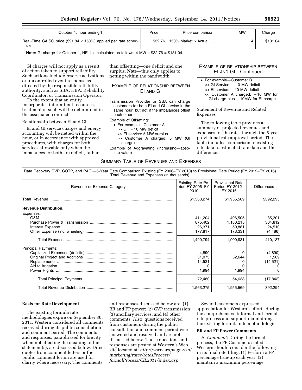| October 1, hour ending 1                                                      | Price | Price comparison                    | <b>MW</b> | Charge   |
|-------------------------------------------------------------------------------|-------|-------------------------------------|-----------|----------|
| Real-Time CAISO price (\$21.84 $\times$ 150%) applied per rate sched-<br>ule. |       | $$32.76 \mid 150\%$ Market > Actual |           | \$131.04 |

**Note:** GI charge for October 1, HE 1 is calculated as follows: 4 MW × \$32.76 = \$131.04.

GI charges will not apply as a result of action taken to support reliability. Such actions include reserve activations or uncontrolled event response as directed by the responsible reliability authority, such as SBA, HBA, Reliability Coordinator, or Transmission Operator.

To the extent that an entity incorporates intermittent resources, treatment of such will be determined in the associated contract.

#### Relationship between EI and GI

EI and GI service charges and energy accounting will be netted within the hour, or in accordance with approved procedures, with charges for both services allowable only when the imbalances for both are deficit, rather

than offsetting—one deficit and one surplus. **Note**—this only applies to netting within the bandwidth.

# EXAMPLE OF RELATIONSHIP BETWEEN EI AND GI

Transmission Provider or SBA can charge customers for both EI and GI service in the same hour, but not if the imbalances offset each other.

Example of Offsetting:

- For example—Customer A
- $\gg$  GI:  $-10$  MW deficit
- >> EI service: 5 MW surplus >> Customer A charged: 5 MW (GI
	- charge)
- Example of Aggravating (increasing—absolute value)

SUMMARY TABLE OF REVENUES AND EXPENSES

## EXAMPLE OF RELATIONSHIP BETWEEN EI AND GI—Continued

| • For example-Customer B          |  |
|-----------------------------------|--|
| $<<$ GI Service: $-10$ MW deficit |  |
| $<<$ El service: $-10$ MW deficit |  |
| << Customer A charged: -10 MW for |  |

GI charge plus  $-10MW$  for EI charge

Statement of Revenue and Related Expenses

The following table provides a summary of projected revenues and expenses for the rates through the 5-year provisional rate approval period. The table includes comparison of existing rate data to estimated rate data and the difference.

Rate Recovery CVP, COTP, and PACI—5-Year Rate Comparison Existing (FY 2006–FY 2010) to Provisional Rate Period (FY 2012–FY 2016) Total Revenue and Expenses (in thousands)

| Revenue or Expense Category  | Existing Rate Pe-<br>riod $FY$ 2006– $FY$<br>2010    | <b>Provisional Rate</b><br>Period FY 2012-<br>FY 2016  | <b>Differences</b>                                 |
|------------------------------|------------------------------------------------------|--------------------------------------------------------|----------------------------------------------------|
| <b>Total Revenue</b>         | \$1,563,274                                          | \$1,955,569                                            | \$392,295                                          |
| <b>Revenue Distribution.</b> |                                                      |                                                        |                                                    |
| Expenses:                    | 411,204<br>875,402<br>26,371<br>177,817<br>1,490,794 | 496,505<br>1,180,215<br>50.881<br>173,331<br>1,900,931 | 85,301<br>304,812<br>24,510<br>(4, 486)<br>410,137 |
| <b>Principal Payments:</b>   | 4.890<br>51,075<br>14,521<br>1,994<br>72,480         | 52,644<br>1,994<br>54,638                              | (4,890)<br>1,569<br>(14, 521)<br>(17, 842)         |
|                              | 1,563,275                                            | 1.955.569                                              | 392.294                                            |

#### **Basis for Rate Development**

The existing formula rate methodologies expire on September 30, 2011. Western considered all comments received during its public consultation and comment period. The comments and responses, paraphrased for brevity when not affecting the meaning of the statement(s), are discussed below. Direct quotes from comment letters or the public comment forum are used for clarity where necessary. The comments

and responses discussed below are: (1) BR and FP power; (2) CVP transmission; (3) ancillary services; and (4) other comments. Also, questions received from customers during the public consultation and comment period were answered and resolved and are not discussed below. Those questions and responses are posted at Western's Web site located at: *http://www.wapa.gov/sn/ marketing/rates/ratesProcess/ formalProcess/CIL2011/index.asp.* 

Several customers expressed appreciation for Western's efforts during the comprehensive informal and formal rate process and support maintaining the existing formula rate methodologies.

#### **BR and FP Power Comments**

A. *Comment:* During the formal process, the FP Customers stated Western should consider the following in its final rate filing: (1) Perform a FP percentage true-up each year; (2) maintain a maximum percentage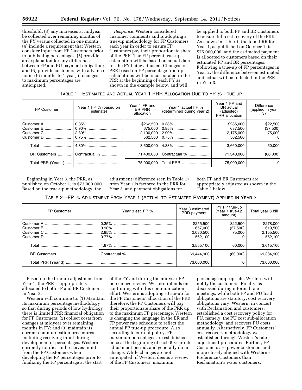threshold; (3) any increases at midyear be collected over remaining months of the FY versus collected in one month; (4) include a requirement that Western consider input from FP Customers prior to publishing percentages; (5) provide an explanation for any difference between FP and PU payment obligation; and (6) provide customers with advance notice (6 months to 1 year) if changes to maximum percentages are anticipated.

*Response:* Western considered customer comments and is adopting a true-up methodology for FP Customers each year in order to ensure FP Customers pay their proportionate share of the PRR. The FP percent true-up calculation will be based on actual data for the FY being adjusted. Changes to PRR based on FP percentage true-up calculations will be incorporated in the PRR at the beginning of each FY as shown in the example below, and will

be applied to both FP and BR Customers to ensure full cost recovery of the PRR. As shown in Table 1, the total PRR for Year 1, as published on October 1, is \$75,000,000, and the estimated payment is allocated to customers based on their estimated FP and BR percentages. Following a true-up of FP percentages in Year 2, the difference between estimated and actual will be reflected in the PRR in Year 3.

| TABLE 1-ESTIMATED AND ACTUAL YEAR 1 PRR ALLOCATION DUE TO FP % TRUE-UP |  |  |
|------------------------------------------------------------------------|--|--|
|------------------------------------------------------------------------|--|--|

| FP Customer        | Year 1 FP % (based on<br>estimate) | Year 1 FP and<br><b>BR PRR</b><br>allocation | Year 1 actual FP %<br>(determined during year 2)                                  | Year 1 FP and<br>BR actual<br>(adjusted)<br>PRR allocation | Difference<br>(applied in year<br>3)       |
|--------------------|------------------------------------|----------------------------------------------|-----------------------------------------------------------------------------------|------------------------------------------------------------|--------------------------------------------|
| Customer A         | 0.35%<br>0.90%                     | \$262,500<br>675.000                         | 0.38%<br>0.85%<br>$562.500 \mid 0.75\% \dots \dots \dots \dots \dots \dots \dots$ | \$285.000<br>637.500<br>2,175,000<br>562.500               | \$22,500<br>(37,500)<br>75.000<br>$\Omega$ |
|                    |                                    | 3.600.000                                    | 4.88%                                                                             | 3.660.000                                                  | 60.000                                     |
|                    | BR Customers    Contractual %      | 71.400.000                                   | Contractual %                                                                     | 71.340.000                                                 | (60,000)                                   |
| Total PRR (Year 1) |                                    | 75.000.000                                   | Total PRR                                                                         | 75,000,000                                                 | $\Omega$                                   |

Beginning in Year 3, the PRR, as published on October 1, is \$73,000,000. Based on the true-up methodology, the

adjustment (difference seen in Table 1) from Year 1 is factored in the PRR for Year 3, and payment obligations for

both FP and BR Customers are appropriately adjusted as shown in the Table 2 below.

TABLE 2—FP % ADJUSTMENT FROM YEAR 1 (ACTUAL TO ESTIMATED PAYMENT) APPLIED IN YEAR 3

| FP Customer | Year 3 est. FP % | Year 3 estimated<br>PRR payment              | PY FP true-up<br>(Year 1 true-up<br>amount) | Total year 3 bill                            |
|-------------|------------------|----------------------------------------------|---------------------------------------------|----------------------------------------------|
|             |                  | \$255,500<br>657,000<br>2,080,500<br>562.100 | \$22,500<br>(37,500)<br>75.000              | \$278,000<br>619,500<br>2,155,500<br>562.100 |
|             |                  | 3,555,100                                    | 60.000                                      | 3,615,100                                    |
|             |                  | 69.444.900                                   | (60,000)                                    | 69,384,900                                   |
|             |                  | 73.000.000                                   | 0                                           | 73,000,000                                   |

Based on the true-up adjustment from Year 1, the PRR is appropriately allocated to both FP and BR Customers in Year 3.

Western will continue to: (1) Maintain its maximum percentage methodology so that during periods of low hydrology there is limited PRR financial obligation for FP Customers; (2) collect costs from changes at midyear over remaining months in FY; and (3) maintain its current communication procedures including receiving input during development of percentages. Western currently notifies and receives input from the FP Customers when developing the FP percentages prior to finalizing the FP percentage at the start

of the FY and during the midyear FP percentage review. Western intends on continuing with this communication effort. Western is adopting a true-up for the FP Customers' allocation of the PRR; therefore, the FP Customers will pay their proportionate share of the PRR up to the maximum FP percentage. Western is changing the language in the BR and FP power rate schedule to reflect the annual FP true-up procedure. Also, according to current policy, FP maximum percentages are established once at the beginning of each 5-year rate adjustment period, and generally do not change. While changes are not anticipated, if Western deems a review of the FP Customers' maximum

percentage appropriate, Western will notify the customers. Finally, as discussed during informal rate meetings, while both FP and PU load obligations are statutory, cost recovery obligations vary. Western, in concert with Reclamation and customers, established a cost recovery policy for PU, namely, the PU cost sub-allocation methodology, and recovers PU costs annually. Alternatively, FP Customers' cost recovery methodology was established through Western's rate adjustment procedures. Further, FP Customers are power customers and more closely aligned with Western's Preference Customers than Reclamation's water customers.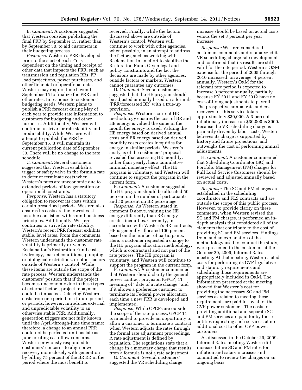B. *Comment:* A customer suggested that Western consider publishing the final PRR by September 15, rather than by September 30, to aid customers in their budgeting process.

*Response:* Western's PRR developed prior to the start of each FY is dependent on the timing and receipt of other data that impacts the PRR, such as transmission and regulation RRs, FP load projections, power purchases, and other financial or operational data. Western may require time beyond September 15 to finalize the PRR and other rates. In response to customers' budgeting needs, Western plans to publish a PRR forecast during May of each year to provide rate information to customers for budgeting and other purposes. Additionally, Western will continue to strive for rate stability and predictability. While Western will attempt to publish the PRR by September 15, it will maintain its current publication date of September 30. There will be no change to the rate schedule.

C. *Comment:* Several customers suggested that Western establish a trigger or safety valve in the formula rate to defer or terminate costs when Western's rates are uneconomic due to extended periods of low generation or operational constraints.

*Response:* Western has a statutory obligation to recover its costs within certain prescribed periods. Western also ensures its costs are the lowest cost possible consistent with sound business principles. Additionally, Western continues to strive for rate stability. Western's recent PRR forecast exhibits stable, level rates. From the comments, Western understands the customer rate volatility is primarily driven by Reclamation's Restoration Fund costs, hydrology, market conditions, pumping or biological restrictions, or other factors outside of Western's control. While these items are outside the scope of the rate process, Western understands the customers' position that if the project becomes uneconomic due to these types of external factors, project repayment could be impacted. Deferring Western's costs from one period to a future period or periods, however, introduces external and unpredictable volatility to an otherwise stable PRR. Additionally, generation triggers are not fully known until the April-through-June time frame; therefore, a change to an annual PRR could not be perfected until as late as June creating cash-flow concerns. Western previously responded to customers' concerns to align power recovery more closely with generation by billing 75 percent of the BR RR in the period where the most benefit is

received. Finally, while the factors discussed above are outside of Western's control, Western will continue to work with other agencies, when possible, in an attempt to address the factors, such as working with Reclamation in an effort to stabilize the Restoration Fund. Given legal and policy constraints and the fact the decisions are made by other agencies, outside factors or markets, Western cannot guarantee any outcomes.

D. *Comment:* Several customers suggested that the HE program should be adjusted annually based on a formula (PRR/forecasted BR) with a true-up provision.

*Response:* Western's current HE methodology ensures the cost of BR and HE energy is valued the same in the month the energy is used. Valuing the HE energy based on derived annual costs and BR energy based on derived monthly costs creates inequities for energy in similar periods. Western's analysis of the customers' proposal revealed that assessing HE monthly, rather than yearly, has a cumulative minimal monetary effect. The HE program is voluntary, and Western will continue to support the program in the current form.

E. *Comment:* A customer suggested the HE program should be allocated 50 percent on the number of participants and 50 percent on BR percentage.

*Response:* As Western stated in comment D above, valuing the HE energy differently than BR energy creates inequities. Currently, in accordance with Western's BR contracts, HE is generally allocated 100 percent based on the number of participants. Here, a customer requested a change to the HE program allocation methodology, which is contractual and not part of the rate process. The HE program is voluntary, and Western will continue to support the program in the current form.

F. *Comment:* A customer commented that Western should clarify the general power contract provision (GPCP) 11 meaning of ''date of a rate change'' and if it allows a preference customer to terminate its Federal power allocation each time a new PRR is developed and implemented.

*Response:* While GPCPs are outside the scope of the rate process, GPCP 11 is intended to provide an opportunity to allow a customer to terminate a contract when Western adjusts the rates through the formal rate adjustment proceedings. A rate adjustment is defined by regulation. The regulations state that a change in a monetary charge that results from a formula is not a rate adjustment.

G. *Comment:* Several customers' suggested the VR scheduling charge increase should be based on actual costs versus the set 3 percent per year increase.

*Response:* Western considered customers comments and re-analyzed its VR scheduling charge rate development and confirmed that its results are still valid for the rate period. Western's O&M expense for the period of 2005 through 2010 increased, on average, 4 percent annually. Western's O&M for the relevant rate period is expected to increase 3 percent annually, partially because FY 2011 and FY 2012 have no cost-of-living adjustments to payroll. The prospective annual rate and cost recovery for this service totals approximately \$30,000. A 3 percent inflationary increase on \$30,000 is \$900. Because the VR scheduling charge is primarily driven by labor costs, Western believes its charge is supported by history and future projections, and outweighs the cost of performing annual adjustments.

H. *Comment:* A customer commented that Scheduling Coordinator (SC) and Portfolio Management (PM) charges for Full Load Service Customers should be reviewed and adjusted annually based on actual costs.

*Response:* The SC and PM charges are established in the scheduling coordinator and FLS contracts and are outside the scope of this public process. However, to provide clarity on these comments, when Western revised the SC and PM charges, it performed an indepth analysis that considered all of the elements that contribute to the cost of providing SC and PM services. Findings from, and an explanation of the methodology used to conduct the study, were presented to the customers at the October 29, 2009, Informal Rates meeting. At that meeting, Western stated costs for performing its CVP legislative and statutory requirements and scheduling those requirements are appropriately included in O&M. The information presented at the meeting showed that Western's cost for providing the necessary SC and PM services as related to meeting these requirements are paid for by all of the CVP power customers. The costs for providing additional and separate SC and PM services are paid for by those entities requesting such services, at no additional cost to other CVP power customers.

As discussed in the October 29, 2009, Informal Rates meeting, Western did increase future SC and PM rates for inflation and salary increases and committed to review the charges on an ongoing basis.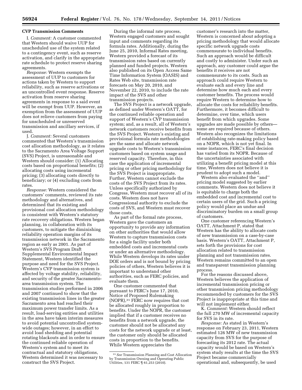#### **CVP Transmission Comments**

I. *Comment:* A customer commented that Western should waive UUP for unscheduled use of the system related to a contingency event, such as reserve activation, and clarify in the appropriate rate schedule to protect reserve sharing agreements.

*Response:* Western exempts the assessment of UUP to customers for actions taken by Western to support reliability, such as reserve activations or an uncontrolled event response. Reserve activation from reserve sharing agreements in response to a said event will be exempt from UUP. However, an exemption from the assessment of UUP does not relieve customers from paying for unscheduled or unreserved transmission and ancillary services, if used.

J. *Comment:* Several customers commented that Western's transmission cost allocation methodology, as it relates to the Sacramento Area Voltage Support (SVS) Project, is unreasonable and Western should consider: (1) Allocating costs based on proportional benefits; (2) allocating costs using incremental pricing; (3) allocating costs directly to beneficiary; or (4) excluding costs from rates.

*Response:* Western considered the customers' comments, reviewed its rate methodology and alternatives, and determined that its existing and provisional cost allocation methodology is consistent with Western's statutory rate recovery obligations. Western began planning, in collaboration with its customers, to mitigate the diminishing reliability operation margins of its transmission network in the Sacramento region as early as 2001. As part of Western's SVS Program Draft Supplemental Environmental Impact Statement, Western identified the purpose and need for the SVS Project. Western's CVP transmission system is affected by voltage stability, reliability, and security of the greater Sacramentoarea transmission system. The transmission studies performed in 2006 and 2007 continued to show that the existing transmission lines in the greater Sacramento area had reached their maximum power transfer limits. As a result, load-serving entities and utilities in the area have taken interim measures to avoid potential uncontrolled systemwide outages; however, in an effort to avoid load shedding and potential rotating blackouts and in order to ensure the continued reliable operation of Western's system and to meet its contractual and statutory obligations, Western determined it was necessary to construct the SVS Project.

During the informal rate process, Western engaged customers and sought input and comments regarding its formula rates. Additionally, during the June 25, 2010, Informal Rates meeting, Western provided a forecast of its transmission rates based on currently planned and funded projects. Western also published on its Open Access Same Time Information System (OASIS) and Rates Web site, transmission rate forecasts on May 20, 2010, and November 22, 2010, to include the rate impact of the SVS and other transmission projects.

The SVS Project is a network upgrade, as defined under Western's OATT, for the continued reliable operation and support of Western's CVP transmission system; and, as a result, all of Western's network customers receive benefits from the SVS Project. Western's existing and provisional formula rate methodologies are the same and allocate network upgrade costs to Western's transmission customers based on system usage and reserved capacity. Therefore, in this case the application of incremental pricing or other pricing methodology for the SVS Project is inappropriate. Further, Western cannot exclude the costs of the SVS Project from its rates. Unless specifically authorized by Congress, Western must recover all of its costs. Western does not have Congressional authority to exclude the costs of SVS, and Western must recover those costs.

As part of the formal rate process, Western gave the customers an opportunity to provide any information on other authorities that would allow Western to capture transmission costs for a single facility under both embedded costs and incremental costs or under an alternative methodology. While Western develops its rates under DOE orders and is not bound by pricing policies of others, Western believes it is important to understand other authorities, such as FERC policies, and evaluate them.

One customer commented that pursuant to FERC's June 17, 2010, Notice of Proposed Rulemaking (NOPR),31 FERC now requires that cost be allocated roughly in proportion to benefits. Under the NOPR, the customer implied that if a customer receives no benefits from a network upgrade, the customer should not be allocated any costs for the network upgrade or at least, the customer only should be allocated costs in proportion to the benefits. While Western appreciates the

customer's research into the matter, Western is concerned about adopting a pricing methodology that would allocate specific network upgrade costs commensurate to individual benefits. Such an approach would be difficult and costly to administer. Under such an approach, any customer could argue the benefits it receives are not commensurate to its costs. Such an approach could require Western to evaluate each and every line and determine how much each and every customer benefits. The process would require Western to determine how to allocate the costs for reliability benefits. Furthermore, it becomes difficult to determine, over time, which users benefit from which upgrades. Some upgrades are made possible by others some are required because of others. Western also recognizes the limitations of establishing rate-making policy based on a NOPR, which is not yet final. In some instances, FERC's final decision has varied from its NOPR. Because of the uncertainties associated with utilizing a benefit pricing model at this time, Western does not believe it is prudent to adopt such a model.

Western also evaluated the ''and'' pricing model suggested by earlier comments. Western does not believe it is equitable to charge both the embedded cost and incremental cost to certain users of the grid. Such a pricing policy would place an undue and discriminatory burden on a small group of customers.

One customer referencing Western's OATT, Attachment P, stated that Western has the ability to allocate costs of new transmission on a case-by-case basis. Western's OATT, Attachment P, sets forth the provisions for cost allocation related to transmission planning and not transmission rates. Western remains committed to an open and transparent transmission planning process.

For the reasons discussed above, Western believes the application of incremental transmission pricing or other transmission pricing methodology recommended by customers for the SVS Project is inappropriate at this time and will not implement either.

K. *Comment:* Western should reflect the full 270 MW of incremental capacity for SVS in its rate.

*Response:* As stated in Western's response on February 23, 2011, Western estimated 126 MW of new transmission capacity from SVS for the purpose of forecasting its 2012 rate. The actual capacity would be based on Western's system study results at the time the SVS Project became commercially operational and, subsequently, be used

<sup>31</sup>*See* Transmission Planning and Cost Allocation by Transmission Owning and Operating Public Utilities, 131 FERC ¶ 61,253 (2010).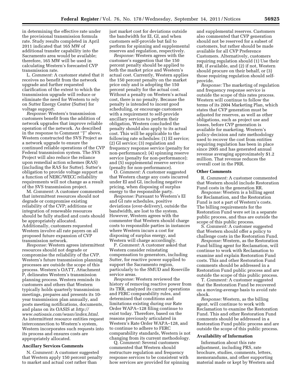in determining the effective rate under the provisional transmission formula rate. Study results completed in April 2011 indicated that 165 MW of additional transfer capability into the Sacramento area would be available; therefore, 165 MW will be used in calculating Western's forecasted CVP transmission rate.

L. *Comment:* A customer stated that it receives no benefit from the network upgrade and further requested clarification of the extent to which the transmission upgrade will reduce or eliminate the need for Western to rely on Sutter Energy Center (Sutter) for voltage support.

*Response:* Western's transmission customers benefit from the addition of network upgrades that improve reliable operation of the network. As described in the response to Comment ''J'' above, Western constructed the SVS Project as a network upgrade to ensure the continued reliable operations of the CVP Federal transmission system. The SVS Project will also reduce the reliance upon remedial action schemes (RAS) (including the RAS for Sutter). Sutter's obligation to provide voltage support as a function of NERC/WECC reliability requirements will not change as a result of the SVS transmission project.

M. *Comment:* A customer commented that intermittent resources should not degrade or compromise existing reliability of the CVP; additions or integration of renewable resources should be fully studied and costs should be appropriately allocated. Additionally, customers requested Western involve all rate payers on all proposed future expansion of CVP transmission network.

*Response:* Western agrees intermittent resources should not degrade or compromise the reliability of the CVP. Western's future transmission planning processes are outside the scope of this process. Western's OATT, Attachment P, delineates Western's transmission planning process. Western reminds its customers and others that Western typically holds quarterly transmission meetings, prepares and presents its 10 year transmission plan annually, and posts meeting notifications, documents, and plans on its OASIS at *http:// www.oatioasis.com/wasn/index.html.*  As intermittent resource entities request interconnection to Western's system, Western incorporates such requests into its process and ensures costs are appropriately allocated.

## **Ancillary Services Comments**

N. *Comment:* A customer suggested that Western apply 150 percent penalty to market and actual cost rather than

just market cost for deviations outside the bandwidth for EI, GI, and when customers self-provide but fail to perform for spinning and supplemental reserves and regulation, respectively.

*Response:* Western agrees with the customer's suggestion that the 150 percent penalty should be applied to both the market price and Western's actual cost. Currently, Western applies the 150 percent penalty on the market price only and is adopting the 150 percent penalty for the actual cost. Without a penalty on Western's actual cost, there is no penalty. Because the penalty is intended to incent good scheduling, or encourage customers with a requirement to self-provide ancillary services to perform their obligation, Western concluded the penalty should also apply to its actual cost. This will be applicable to the following rate schedules: (1) EI service; (2) GI service; (3) regulation and frequency response service (penalty for non-performance); (4) spinning reserve service (penalty for non-performance); and (5) supplemental reserve service (penalty for non-performance).

O. *Comment:* A customer suggested that Western charge any costs incurred under EI and GI, including negative pricing, when disposing of surplus energy to the responsible party.

*Response:* Pursuant to Western's EI and GI rate schedules, positive deviations (over-delivery), outside the bandwidth, are lost to the system. However, Western agrees with the commenter that Western should charge costs to responsible parties in instances where Western incurs a cost for disposing of surplus energy, and Western will charge accordingly.

P. *Comment:* A customer asked that Western consider reinstating compensation to generators, including Sutter, for reactive power supplied to support the Sacramento region, particularly to the SMUD and Roseville service areas.

*Response:* Western reviewed the history of removing reactive power from its TRR, analyzed its current operations and FERC comparability rules, and determined that conditions and limitations existing during our Rate Order WAPA–128 filing continue to exist today. Therefore, based on the reasons previously articulated in Western's Rate Order WAPA–128, and to continue to adhere to FERC comparability standards, Western is not changing from its current methodology.

Q. *Comment:* Several customers commented that Western should restructure regulation and frequency response services to be consistent with how services are provided for spinning and supplemental reserves. Customers also commented that CVP generation should not be reserved for a subset of customers, but rather should be made available for all CVP Preference Customers. Alternatively, customers requiring regulation should (1) Use their BR, if available, and (2) if not, Western should procure on their behalf, or (3) those requiring regulation should selfprovide.

*Response:* The marketing of regulation and frequency response service is outside the scope of this rates process. Western will continue to follow the terms of its 2004 Marketing Plan, which states that CVP generation must be adjusted for reserves, as well as other obligations, such as project use and losses, before CVP generation is available for marketing. Western's policy-decision and rate methodology used to recover the cost from entities requiring regulation has been in place since 2005 and has generated annual revenue averaging approximately \$1.2 million. That revenue reduces the overall cost in the PRR.

#### **Other Comments**

R. *Comment:* A customer commented that Western should include Restoration Fund costs in the generation RR.

*Response:* Western is a billing agent for Reclamation, and the Restoration Fund is not a part of Western's costs. The billing requirements for the Restoration Fund were set in a separate public process, and thus are outside the scope of this public process.

S. *Comment:* A customer suggested that Western should offer a policy to challenge costs in the Restoration Fund.

*Response:* Western, as the Restoration Fund billing agent for Reclamation, will continue to work with Reclamation to examine and explain Restoration Fund costs. This and other Restoration Fund comments should be addressed in a Restoration Fund public process and are outside the scope of this public process.

T. *Comment:* A customer suggested that the Restoration Fund be recovered on a moving-average basis to avoid rate shock.

*Response:* Western, as the billing agent, will continue to work with Reclamation to examine the Restoration Fund. This and other Restoration Fund comments should be addressed in a Restoration Fund public process and are outside the scope of this public process.

#### **Availability of Information**

Information about this rate adjustment, including PRS, rate brochure, studies, comments, letters, memorandums, and other supporting material made or kept by Western and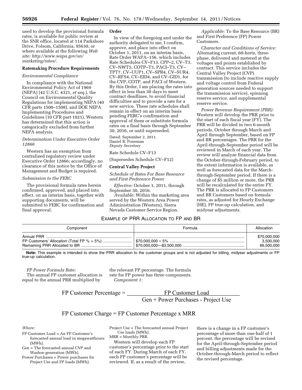used to develop the provisional formula rates, is available for public review at the SNR office, located at 114 Parkshore Drive, Folsom, California, 95630, or where available at the following *Web site: http://www.wapa.gov/sn/ marketing/rates/.* 

#### **Ratemaking Procedure Requirements**

#### *Environmental Compliance*

In compliance with the National Environmental Policy Act of 1969 (NEPA) (42 U.S.C. 4321, *et seq.*), the Council on Environmental Quality Regulations for implementing NEPA (40 CFR parts 1500–1508), and DOE NEPA Implementing Procedures and Guidelines (10 CFR part 1021), Western has determined that this action is categorically excluded from further NEPA analysis.

#### *Determination Under Executive Order 12866*

Western has an exemption from centralized regulatory review under Executive Order 12866; accordingly, no clearance of this notice by the Office of Management and Budget is required.

#### *Submission to the FERC*

The provisional formula rates herein confirmed, approved, and placed into effect, on an interim basis, together with supporting documents, will be submitted to FERC for confirmation and final approval.

#### **Order**

In view of the foregoing and under the authority delegated to me, I confirm, approve, and place into effect on October 1, 2011, on an interim basis, Rate Order WAPA–156, which includes Rate Schedules CV–F13, CPP–2, CV–T3, CV–NWT5, COTP–T3, PACI–T3, CV– TPT7, CV–UUP1, CV–SPR4, CV–SUR4, CV–RFS4, CV–EID4, and CV–GID1, for the CVP, COTP, and PACI of Western. By this Order, I am placing the rates into effect in less than 30 days to meet contract deadlines, to avoid financial difficulties and to provide a rate for a new service. These rate schedules shall remain in effect on an interim basis pending FERC's confirmation and approval of them or substitute formula rates on a final basis through September 30, 2016, or until superseded.

Dated: September 2, 2011. Daniel B. Poneman *Deputy Secretary* 

Rate Schedule CV–F13

(Supersedes Schedule CV–F12)

#### **Central Valley Project**

*Schedule of Rates For Base Resource and First Preference Power* 

*Effective:* October 1, 2011, through September 30, 2016.

*Available:* Within the marketing area served by the Western Area Power Administration (Western), Sierra Nevada Customer Service Region.

*Applicable:* To the Base Resource (BR) and First Preference (FP) Power Customers.

*Character and Conditions of Service:*  Alternating current, 60-hertz, threephase, delivered and metered at the voltages and points established by contract. This service includes the Central Valley Project (CVP) transmission (to include reactive supply and voltage control from Federal generation sources needed to support the transmission service), spinning reserve service, and supplemental reserve service.

*Power Revenue Requirement (PRR):*  Western will develop the PRR prior to the start of each fiscal year (FY). The PRR will be divided in two 6-month periods, October through March and April through September, based on FP and BR percentages. The PRR for the April-through-September period will be reviewed in March of each year. The review will analyze financial data from the October-through-February period, to the extent information is available, as well as forecasted data for the Marchthrough-September period. If there is a change of \$5 million or more, the PRR will be recalculated for the entire FY. The PRR is allocated to FP Customers and BR Customers based on formula rates, as adjusted for Hourly Exchange (HE), FP true-up calculation, and midyear adjustments.

# EXAMPLE OF PRR ALLOCATION TO FP AND BR

| Component  | Formula | Allocation                              |
|------------|---------|-----------------------------------------|
| Annual PRR |         | \$70,000,000<br>3.500.000<br>66,500,000 |

**Note:** This example is intended to show the PRR allocation to the customer groups and is not adjusted for billing, midyear adjustments or FP true-up calculation.

*FP Power Formula Rate:* 

The annual FP customer allocation is equal to the annual PRR multiplied by

the relevant FP percentage. The formula rate for FP power has three components. *Component 1:* 

 $FP$  Customer Percentage =  $\_\_\_\_\_\_\_\_\_\_\_\_$ 

FP Customer Load Gen + Power Purchases - Project Use

# $FP$  Customer Charge =  $FP$  Customer Percentage x MRR

*Where:* 

- FP Customer Load = An FP Customer's forecasted annual load in megawatthours (MWh).
- Gen = The forecasted annual CVP and Washoe generation (MWh).

Power Purchases = Power purchases for Project Use and FP loads (MWh).

Project Use = The forecasted annual Project Use loads (MWh). MRR = Monthly PRR.

Western will develop each FP customer's percentage prior to the start of each FY. During March of each FY, each FP customer's percentage will be reviewed. If, as a result of the review,

there is a change in a FP customer's percentage of more than one-half of 1 percent, the percentage will be revised for the April-through-September period and billing adjustments made for the October-through-March period to reflect the revised percentage.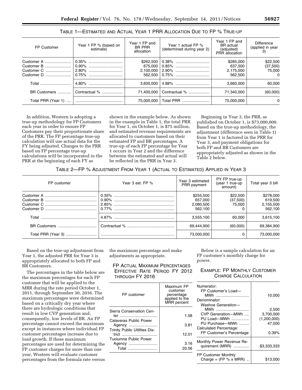| FP Customer                                          | Year 1 FP % (based on<br>estimate) | Year 1 FP and<br><b>BR PRR</b><br>allocation | Year 1 actual FP %<br>(determined during year 2) | Year 1 FP and<br><b>BR</b> actual<br>(adjusted)<br>PRR allocation | Difference<br>(applied in year<br>3)       |
|------------------------------------------------------|------------------------------------|----------------------------------------------|--------------------------------------------------|-------------------------------------------------------------------|--------------------------------------------|
| Customer A<br>Customer B<br>Customer C<br>Customer D | 0.35%<br>0.90%<br>$\mid$ 2.80%     |                                              |                                                  | \$285,000<br>637.500<br>2,175,000<br>562,500                      | \$22,500<br>(37,500)<br>75,000<br>$\Omega$ |
| Total                                                |                                    |                                              |                                                  | 3.660.000                                                         | 60.000                                     |
|                                                      | BR Customers    Contractual %      | 71.400.000                                   | Contractual %                                    | 71.340.000                                                        | (60,000)                                   |
| Total PRR (Year 1)                                   |                                    | 75,000,000                                   | Total PRR                                        | 75,000,000                                                        | $\Omega$                                   |

# TABLE 1—ESTIMATED AND ACTUAL YEAR 1 PRR ALLOCATION DUE TO FP % TRUE-UP

In addition, Western is adopting a true-up methodology for FP Customers each year in order to ensure FP Customers pay their proportionate share of the PRR. The FP percentage true-up calculation will use actual data for the FY being adjusted. Changes to the PRR based on FP percentage true-up calculations will be incorporated in the PRR at the beginning of each FY as

shown in the example below. As shown in the example in Table 1, the total PRR for Year 1, on October 1, is \$75 million, and estimated revenue requirements are allocated to customers based on their estimated FP and BR percentages. A true-up of each FP percentage for Year 1 occurs in Year 2 and the difference between the estimated and actual will be reflected in the PRR in Year 3.

Beginning in Year 3, the PRR, as published on October 1, is \$73,000,000. Based on the true-up methodology, the adjustment (difference seen in Table 1) from Year 1 is factored in the PRR for Year 3, and payment obligations for both FP and BR Customers are appropriately adjusted as shown in the Table 2 below.

TABLE 2—FP % ADJUSTMENT FROM YEAR 1 (ACTUAL TO ESTIMATED) APPLIED IN YEAR 3

| FP customer | Year 3 est. FP % | Year 3 estimated<br>PRR payment              | PY FP true-up<br>(year 1 true-up<br>amount) | Total year 3 bill                            |
|-------------|------------------|----------------------------------------------|---------------------------------------------|----------------------------------------------|
|             |                  | \$255,500<br>657,000<br>2,080,500<br>562.100 | \$22,500<br>(37,500)<br>75.000              | \$278,000<br>619,500<br>2,155,500<br>562.100 |
|             |                  | 3,555,100                                    | 60.000                                      | 3,615,100                                    |
|             |                  | 69,444,900                                   | (60,000)                                    | 69,384,900                                   |
|             |                  | 73,000,000                                   | 0                                           | 73,000,000                                   |

Based on the true-up adjustment from Year 1, the adjusted PRR for Year 3 is appropriately allocated to both FP and BR Customers.

The percentages in the table below are the maximum percentages for each FP customer that will be applied to the MRR during the rate period October 1, 2011, through September 30, 2016. The maximum percentages were determined based on a critically dry year where there are hydrologic conditions that result in low CVP generation and, consequently, low levels of BR. An FP percentage cannot exceed the maximum except in instances where individual FP customer percentages increase due to load growth. If these maximum percentages are used for determining the FP customer charges for more than one year, Western will evaluate customer percentages from the formula rate versus

the maximum percentage and make adjustments as appropriate.

FP ACTUAL MAXIMUM PERCENTAGES EFFECTIVE RATE PERIOD FY 2012 THROUGH FY 2016

| FP customer                                   | Maximum FP<br>customer<br>percentage<br>applied to the<br>MRR percent |
|-----------------------------------------------|-----------------------------------------------------------------------|
| Sierra Conservation Cen-                      | 1.58                                                                  |
| Calaveras Public Power                        |                                                                       |
| Agency                                        | 3.81                                                                  |
| <b>Trinity Public Utilities Dis-</b><br>trict | 12.01                                                                 |
| Tuolumne Public Power                         |                                                                       |
| Agency<br>                                    | 3.16                                                                  |
| Total                                         | 20.56                                                                 |
|                                               |                                                                       |

Below is a sample calculation for an FP customer's monthly charge for power.

# EXAMPLE: FP MONTHLY CUSTOMER CHARGE CALCULATION

| Numerator:                                                                                                                              |                                                         |
|-----------------------------------------------------------------------------------------------------------------------------------------|---------------------------------------------------------|
| FP Customer's Load-<br>MWh<br>Denominator:                                                                                              | 10,000                                                  |
| Washoe Generation-<br>MWh<br>CVP Generation-MWh<br>PU Load—MWh<br>PU Purchase—MWh<br>Calculated Percentage:<br>FP Customer's Percentage | 2,500<br>3,700,000<br>(1,200,000)<br>47,000<br>$0.39\%$ |
|                                                                                                                                         |                                                         |
| Monthly Power Revenue Re-<br>quirement (MRR)                                                                                            | \$3,333,333                                             |
| <b>FP Customer Monthly</b><br>Charge = $(FP % x MRR)$                                                                                   | \$13,000                                                |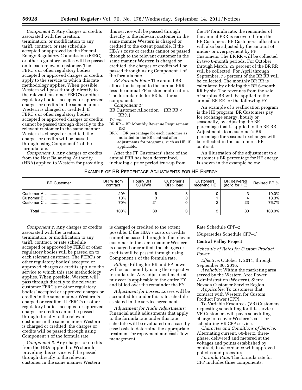*Component 2:* Any charges or credits associated with the creation, termination, or modification to any tariff, contract, or rate schedule accepted or approved by the Federal Energy Regulatory Commission (FERC) or other regulatory bodies will be passed on to each relevant customer. The FERC's or other regulatory bodies' accepted or approved charges or credits apply to the service to which this rate methodology applies. When possible, Western will pass through directly to the relevant customer FERC's or other regulatory bodies' accepted or approved charges or credits in the same manner Western is charged or credited. If FERC's or other regulatory bodies' accepted or approved charges or credits cannot be passed through directly to the relevant customer in the same manner Western is charged or credited, the charges or credits will be passed through using Component 1 of the formula rate.

*Component 3:* Any charges or credits from the Host Balancing Authority (HBA) applied to Western for providing

this service will be passed through directly to the relevant customer in the same manner Western is charged or credited to the extent possible. If the HBA's costs or credits cannot be passed through to the relevant customer in the same manner Western is charged or credited, the charges or credits will be passed through using Component 1 of the formula rate.

*BR Formula Rate:* The annual BR allocation is equal to the annual PRR less the annual FP customer allocation. The formula rate for BR has three components.

#### *Component 1:*

BR Customer Allocation =  $(BR R x)$  $BR\%$ 

- BR RR = BR Monthly Revenue Requirement (RR)
- BR% = BR percentage for each customer as indicated in the BR contract after adjustments for programs, such as HE, if applicable.

After the FP Customers' share of the annual PRR has been determined, including a prior period true-up from

the FP formula rate, the remainder of the annual PRR is recovered from the BR Customers. BR Customers' allocation will also be adjusted by the amount of under- or overpayment by FP Customers. The BR RR will be collected in two 6-month periods. For October through March, 25 percent of the BR RR will be collected. For April through September, 75 percent of the BR RR will be collected. The monthly BR RR is calculated by dividing the BR 6-month RR by six. The revenues from the sale of surplus BR will be applied to the annual BR RR for the following FY.

An example of a reallocation program is the HE program. BR Customers pay for exchange energy, hourly or seasonally, by adjusting the BR percentage that is applied to the BR RR. Adjustments to a customer's BR percentage for seasonal exchanges will be reflected in the customer's BR contract.

An illustration of the adjustment to a customer's BR percentage for HE energy is shown in the example below.

# EXAMPLE OF BR PERCENTAGE ADJUSTMENTS FOR HE ENERGY

| <b>BR Customer</b> | BR % from<br>contract | Hourly $BR =$<br>30 MWh | Customer's<br>BR > load | Customers<br>receiving HE | <b>BR</b> delivered<br>(adj'd for HE) | Revised BR %            |
|--------------------|-----------------------|-------------------------|-------------------------|---------------------------|---------------------------------------|-------------------------|
|                    | 20%<br>10%<br>70%     | 21                      |                         |                           | 23                                    | 10.0%<br>13.3%<br>76.7% |
| Total              | 100%                  | 30                      |                         | ≏                         | 30                                    | 100.0%                  |

*Component 2:* Any charges or credits associated with the creation, termination, or modification to any tariff, contract, or rate schedule accepted or approved by FERC or other regulatory bodies will be passed on to each relevant customer. The FERC's or other regulatory bodies' accepted or approved charges or credits apply to the service to which this rate methodology applies. When possible, Western will pass through directly to the relevant customer FERC's or other regulatory bodies' accepted or approved charges or credits in the same manner Western is charged or credited. If FERC's or other regulatory bodies' accepted or approved charges or credits cannot be passed through directly to the relevant customer in the same manner Western is charged or credited, the charges or credits will be passed through using Component 1 of the formula rate.

*Component 3:* Any charges or credits from the HBA applied to Western for providing this service will be passed through directly to the relevant customer in the same manner Western

is charged or credited to the extent possible. If the HBA's costs or credits cannot be passed through to the relevant customer in the same manner Western is charged or credited, the charges or credits will be passed through using Component 1 of the formula rate.

*Billing:* Billing for BR and FP power will occur monthly using the respective formula rate. Any adjustment made at midyear is applicable to the entire FY and billed over the remainder the FY.

*Adjustment for Losses:* Losses will be accounted for under this rate schedule as stated in the service agreement.

*Adjustment for Audit Adjustments:*  Financial audit adjustments that apply to the formula rate under this rate schedule will be evaluated on a case-bycase basis to determine the appropriate treatment for repayment and cash flow management.

#### Rate Schedule CPP–2

(Supersedes Schedule CPP–1)

#### **Central Valley Project**

*Schedule of Rates for Custom Product Power* 

*Effective:* October 1, 2011, through September 30, 2016.

*Available:* Within the marketing area served by the Western Area Power Administration (Western), Sierra Nevada Customer Service Region.

*Applicable:* To customers that contract with Western for Custom Product Power (CPP).

To Variable Resources (VR) Customers requesting scheduling for this service. VR Customers will pay a scheduling charge to recover Western's cost for scheduling VR CPP service.

*Character and Conditions of Service:*  Alternating current, 60-hertz, threephase, delivered and metered at the voltages and points established by contract, in accordance with approved policies and procedures.

*Formula Rate:* The formula rate for CPP includes three components:

*Where:*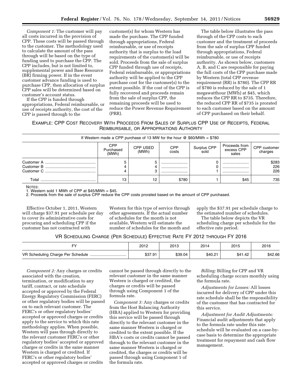*Component 1:* The customer will pay all costs incurred in the provision of CPP. These costs will be passed through to the customer. The methodology used to calculate the amount of the pass through will be based on the type of funding used to purchase the CPP. The CPP includes, but is not limited to, supplemental power and Base Resource (BR) firming power. If in the event customer advance funding is used to purchase CPP, then allocation of surplus CPP sales will be determined based on customer's account status.

If the CPP is funded through appropriations, Federal reimbursable, or use of receipts authority, the cost of the CPP is passed through to the

customer(s) for whom Western has made the purchase. The CPP funded through appropriations, Federal reimbursable, or use of receipts authority that is surplus to the load requirements of the customer(s) will be sold. Proceeds from the sale of surplus CPP funded through use of receipts, Federal reimbursable, or appropriations authority will be applied to the CPP purchase cost for the customer(s) to the extent possible. If the cost of the CPP is fully recovered and proceeds remain from the sale of surplus CPP, the remaining proceeds will be used to reduce the Power Revenue Requirement (PRR).

The table below illustrates the pass through of the CPP costs to each customer and the treatment of proceeds from the sale of surplus CPP funded through appropriations, Federal reimbursable, or use of receipts authority. As shown below, customers A, B, and C are responsible for paying the full costs of the CPP purchase made by Western (total CPP revenue requirement (RR) is \$780). The CPP RR of \$780 is reduced by the sale of 1 megawatthour (MWh) at \$45, which reduces the CPP RR to \$735. Therefore, the reduced CPP RR of \$735 is prorated to each customer based on the amount of CPP purchased on their behalf.

EXAMPLE: CPP COST RECOVERY WITH PROCEEDS FROM SALES OF SURPLUS CPP USE OF RECEIPTS, FEDERAL REIMBURSABLE, OR APPROPRIATIONS AUTHORITY

| If Western made a CPP purchase of 13 MW for the hour $\circledcirc$ \$60/MWh = \$780                                                                                   |    |    |          |  |          |                     |  |
|------------------------------------------------------------------------------------------------------------------------------------------------------------------------|----|----|----------|--|----------|---------------------|--|
| CPP<br>Proceeds from<br>Surplus CPP<br>sold<br>CPP customer<br><b>CPP USED</b><br><b>CPP</b><br>excess CPP<br>Purchased<br>costs<br>(MWh)<br>charges<br>(MWh)<br>sales |    |    |          |  |          |                     |  |
|                                                                                                                                                                        |    | ∩  | <br><br> |  | <br><br> | \$283<br>226<br>226 |  |
| Total                                                                                                                                                                  | 13 | 12 | \$780    |  | \$45     | 735                 |  |

NOTES:

 $1.$  Western sold 1 MWh of CPP at \$45/MWh = \$45.

2. Proceeds from the sale of surplus CPP reduce the CPP costs prorated based on the amount of CPP purchased.

Effective October 1, 2011, Western will charge \$37.91 per schedule per day to cover its administrative costs for procuring and scheduling CPP if the customer has not contracted with

Western for this type of service through other agreements. If the actual number of schedules for the month is not available, Western will estimate the number of schedules for the month and

apply the \$37.91 per schedule charge to the estimated number of schedules.

The table below depicts the VR scheduling charge per schedule for the effective rate period.

## VR SCHEDULING CHARGE (PER SCHEDULE) EFFECTIVE RATE FY 2012 THROUGH FY 2016

| г٦.                                   | 2012    | 2013    | 2014    | 2015    | 2016    |
|---------------------------------------|---------|---------|---------|---------|---------|
| VR Scheduling Charge Per Schedule<br> | \$37.91 | \$39.04 | \$40.21 | \$41.42 | \$42.66 |

*Component 2:* Any charges or credits associated with the creation, termination, or modification to any tariff, contract, or rate schedule accepted or approved by the Federal Energy Regulatory Commission (FERC) or other regulatory bodies will be passed on to each relevant customer. The FERC's or other regulatory bodies' accepted or approved charges or credits apply to the service to which this rate methodology applies. When possible, Western will pass through directly to the relevant customer FERC's or other regulatory bodies' accepted or approved charges or credits in the same manner Western is charged or credited. If FERC's or other regulatory bodies' accepted or approved charges or credits

cannot be passed through directly to the relevant customer in the same manner Western is charged or credited, the charges or credits will be passed through using Component 1 of the formula rate.

*Component 3:* Any charges or credits from the Host Balancing Authority (HBA) applied to Western for providing this service will be passed through directly to the relevant customer in the same manner Western is charged or credited to the extent possible. If the HBA's costs or credits cannot be passed through to the relevant customer in the same manner Western is charged or credited, the charges or credits will be passed through using Component 1 of the formula rate.

*Billing:* Billing for CPP and VR scheduling charge occurs monthly using the formula rate.

*Adjustments for Losses:* All losses incurred for delivery of CPP under this rate schedule shall be the responsibility of the customer that has contracted for this service.

*Adjustment for Audit Adjustments:*  Financial audit adjustments that apply to the formula rate under this rate schedule will be evaluated on a case-bycase basis to determine the appropriate treatment for repayment and cash flow management.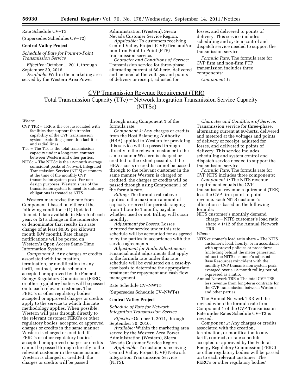Rate Schedule CV–T3

(Supersedes Schedules CV–T2)

#### **Central Valley Project**

*Schedule of Rate for Point-to-Point Transmission Service* 

*Effective:* October 1, 2011, through September 30, 2016.

*Available:* Within the marketing area served by the Western Area Power

Administration (Western), Sierra Nevada Customer Service Region.

*Applicable:* To customers receiving Central Valley Project (CVP) firm and/or non-firm Point-to-Point (PTP) transmission service.

*Character and Conditions of Service:*  Transmission service for three-phase, alternating current at 60-hertz, delivered and metered at the voltages and points of delivery or receipt, adjusted for

losses, and delivered to points of delivery. This service includes scheduling and system control and dispatch service needed to support the transmission service.

*Formula Rate:* The formula rate for CVP firm and non-firm PTP transmission includes three components:

*Component 1:* 

# **CVP Transmission Revenue Requirement (TRR)** Total Transmission Capacity (TTc) + Network Integration Transmission Service Capacity (NITSc)

#### *Where:*

- CVP TRR = TRR is the cost associated with facilities that support the transfer capability of the CVP transmission system excluding generation facilities and radial lines.
- TTc = The TTc is the total transmission capacity under a long-term contract between Western and other parties.
- NITSc = The NITSc is the 12-month average coincident peaks of Network Integrated Transmission Service (NITS) customers at the time of the monthly CVP transmission system peak. For rate design purposes, Western's use of the transmission system to meet its statutory obligations is treated as NITS.

Western may revise the rate from Component 1 based on either of the following conditions: (1) Updated financial data available in March of each year; or (2) a change in the numerator or denominator that results in a rate change of at least \$0.05 per kilowatt month (kW month). Rate change notifications will be posted on Western's Open Access Same-Time Information System.

*Component 2:* Any charges or credits associated with the creation, termination, or modification to any tariff, contract, or rate schedule accepted or approved by the Federal Energy Regulatory Commission (FERC) or other regulatory bodies will be passed on to each relevant customer. The FERC's or other regulatory bodies' accepted or approved charges or credits apply to the service to which this rate methodology applies. When possible, Western will pass through directly to the relevant customer FERC's or other regulatory bodies' accepted or approved charges or credits in the same manner Western is charged or credited. If FERC's or other regulatory bodies' accepted or approved charges or credits cannot be passed through directly to the relevant customer in the same manner Western is charged or credited, the charges or credits will be passed

through using Component 1 of the formula rate.

*Component 3:* Any charges or credits from the Host Balancing Authority (HBA) applied to Western for providing this service will be passed through directly to the relevant customer in the same manner Western is charged or credited to the extent possible. If the HBA's costs or credits cannot be passed through to the relevant customer in the same manner Western is charged or credited, the charges or credits will be passed through using Component 1 of the formula rate.

*Billing:* The formula rate above applies to the maximum amount of capacity reserved for periods ranging from 1 hour to 1 month, payable whether used or not. Billing will occur monthly.

*Adjustment for Losses:* Losses incurred for service under this rate schedule will be accounted for as agreed to by the parties in accordance with the service agreements.

*Adjustment for Audit Adjustments:*  Financial audit adjustments that apply to the formula rate under this rate schedule will be evaluated on a case-bycase basis to determine the appropriate treatment for repayment and cash flow management.

#### Rate Schedule CV–NWT5

(Supersedes Schedule CV–NWT4)

#### **Central Valley Project**

*Schedule of Rate for Network Integration Transmission Service* 

*Effective:* October 1, 2011, through September 30, 2016.

*Available:* Within the marketing area served by the Western Area Power Administration (Western), Sierra Nevada Customer Service Region.

*Applicable:* To customers receiving Central Valley Project (CVP) Network Integration Transmission Service (NITS).

*Character and Conditions of Service:*  Transmission service for three-phase, alternating current at 60-hertz, delivered and metered at the voltages and points of delivery or receipt, adjusted for losses, and delivered to points of delivery. This service includes scheduling and system control and dispatch service needed to support the transmission service.

*Formula Rate:* The formula rate for CVP NITS includes three components:

*Component 1:* The NITS revenue requirement equals the CVP transmission revenue requirement (TRR) less the CVP firm point-to-point revenue. Each NITS customer's allocation is based on the following formula:

NITS customer's monthly demand charge = NITS customer's load ratio share  $\times$  1/12 of the Annual Network TRR.

#### *Where:*

- NITS customer's load ratio share = The NITS customer's load, hourly, or in accordance with approved policies or procedures, (including behind the meter generation minus the NITS customer's adjusted Base Resource) coincident with the monthly CVP transmission system peak, averaged over a 12-month rolling period, expressed as a ratio.
- Annual Network TRR = The total CVP TRR less revenue from long-term contracts for the CVP transmission between Western and other parties.

The Annual Network TRR will be revised when the formula rate from Component 1 of the CVP Transmission Rate under Rates Schedule CV–T3 is revised.

*Component 2:* Any charges or credits associated with the creation, termination, or modification to any tariff, contract, or rate schedule accepted or approved by the Federal Energy Regulatory Commission (FERC) or other regulatory bodies will be passed on to each relevant customer. The FERC's or other regulatory bodies'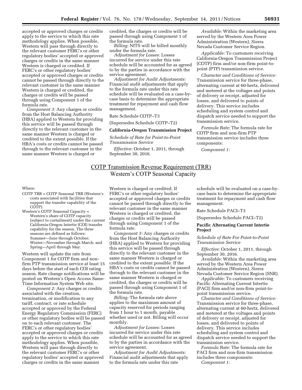accepted or approved charges or credits apply to the service to which this rate methodology applies. When possible, Western will pass through directly to the relevant customer FERC's or other regulatory bodies' accepted or approved charges or credits in the same manner Western is charged or credited. If FERC's or other regulatory bodies' accepted or approved charges or credits cannot be passed through directly to the relevant customer in the same manner Western is charged or credited, the charges or credits will be passed through using Component 1 of the formula rate.

*Component 3:* Any charges or credits from the Host Balancing Authority (HBA) applied to Western for providing this service will be passed through directly to the relevant customer in the same manner Western is charged or credited to the extent possible. If the HBA's costs or credits cannot be passed through to the relevant customer in the same manner Western is charged or

credited, the charges or credits will be passed through using Component 1 of the formula rate.

*Billing:* NITS will be billed monthly under the formula rate.

*Adjustment for Losses:* Losses incurred for service under this rate schedule will be accounted for as agreed to by the parties in accordance with the service agreement.

*Adjustment for Audit Adjustments:*  Financial audit adjustments that apply to the formula rate under this rate schedule will be evaluated on a case-bycase basis to determine the appropriate treatment for repayment and cash flow management.

Rate Schedule COTP–T3

(Supersedes Schedule COTP–T2)

#### **California-Oregon Transmission Project**

*Schedule of Rate for Point-to-Point Transmission Service* 

*Effective:* October 1, 2011, through September 30, 2016.

*Available:* Within the marketing area served by the Western Area Power Administration (Western), Sierra Nevada Customer Service Region.

*Applicable:* To customers receiving California-Oregon Transmission Project (COTP) firm and/or non-firm point-topoint (PTP) transmission service.

*Character and Conditions of Service:*  Transmission service for three-phase, alternating current at 60-hertz, delivered and metered at the voltages and points of delivery or receipt, adjusted for losses, and delivered to points of delivery. This service includes scheduling and system control and dispatch service needed to support the transmission service.

*Formula Rate:* The formula rate for COTP firm and non-firm PTP transmission service includes three components:

*Component 1:* 

# **COTP Transmission Revenue Requirement (TRR)** Western's COTP Seasonal Capacity

#### Where:

- COTP TRR = COTP Seasonal TRR (Western's costs associated with facilities that support the transfer capability of the COTP).
- Western's COTP Seasonal Capacity = Western's share of COTP capacity (subject to curtailment) under the current California-Oregon Intertie (COI) transfer capability for the season. The three seasons are defined as follows: Summer—June through October; Winter—November through March; and Spring—April through May.

Western will update the rate from Component 1 for COTP firm and nonfirm PTP transmission service at least 15 days before the start of each COI rating season. Rate change notifications will be posted on Western's Open Access Same-Time Information System Web site.

*Component 2:* Any charges or credits associated with the creation, termination, or modification to any tariff, contract, or rate schedule accepted or approved by the Federal Energy Regulatory Commission (FERC) or other regulatory bodies will be passed on to each relevant customer. The FERC's or other regulatory bodies' accepted or approved charges or credits apply to the service to which this rate methodology applies. When possible, Western will pass through directly to the relevant customer FERC's or other regulatory bodies' accepted or approved charges or credits in the same manner

Western is charged or credited. If FERC's or other regulatory bodies' accepted or approved charges or credits cannot be passed through directly to the relevant customer in the same manner Western is charged or credited, the charges or credits will be passed through using Component 1 of the formula rate.

*Component 3:* Any charges or credits from the Host Balancing Authority (HBA) applied to Western for providing this service will be passed through directly to the relevant customer in the same manner Western is charged or credited to the extent possible. If the HBA's costs or credits cannot be passed through to the relevant customer in the same manner Western is charged or credited, the charges or credits will be passed through using Component 1 of the formula rate.

*Billing:* The formula rate above applies to the maximum amount of capacity reserved for periods ranging from 1 hour to 1 month, payable whether used or not. Billing will occur monthly.

*Adjustment for Losses:* Losses incurred for service under this rate schedule will be accounted for as agreed to by the parties in accordance with the service agreement.

*Adjustment for Audit Adjustments:*  Financial audit adjustments that apply to the formula rate under this rate

schedule will be evaluated on a case-bycase basis to determine the appropriate treatment for repayment and cash flow management.

Rate Schedule PACI–T3

(Supersedes Schedule PACI–T2)

### **Pacific Alternating Current Intertie Project**

*Schedule of Rate For Point-to-Point Transmission Service* 

*Effective:* October 1, 2011, through September 30, 2016.

*Available:* Within the marketing area served by the Western Area Power Administration (Western), Sierra Nevada Customer Service Region (SNR).

*Applicable:* To customers receiving Pacific Alternating Current Intertie (PACI) firm and/or non-firm point-topoint transmission service.

*Character and Conditions of Service:*  Transmission service for three-phase, alternating current at 60-hertz, delivered and metered at the voltages and points of delivery or receipt, adjusted for losses, and delivered to points of delivery. This service includes scheduling and system control and dispatch service needed to support the transmission service.

*Formula Rate:* The formula rate for PACI firm and non-firm transmission includes three components: *Component 1:*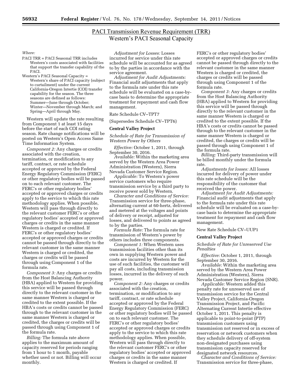# **PACI Transmission Revenue Requirement (TRR) Western's PACI Seasonal Capacity**

#### *Where:*

PACI TRR = PACI Seasonal TRR includes Western's costs associated with facilities that support the transfer capability of the PACI.

Western's PACI Seasonal Capacity = Western's share of PACI capacity (subject to curtailment) under the current California-Oregon Intertie (COI) transfer capability for the season. The three seasons are defined as follows: Summer—June through October; Winter—November through March; and Spring—April through May.

Western will update the rate resulting from Component 1 at least 15 days before the start of each COI rating season. Rate change notifications will be posted on Western's Open Access Same Time Information System.

*Component 2:* Any charges or credits associated with the creation, termination, or modification to any tariff, contract, or rate schedule accepted or approved by the Federal Energy Regulatory Commission (FERC) or other regulatory bodies will be passed on to each relevant customer. The FERC's or other regulatory bodies' accepted or approved charges or credits apply to the service to which this rate methodology applies. When possible, Western will pass through directly to the relevant customer FERC's or other regulatory bodies' accepted or approved charges or credits in the same manner Western is charged or credited. If FERC's or other regulatory bodies' accepted or approved charges or credits cannot be passed through directly to the relevant customer in the same manner Western is charged or credited, the charges or credits will be passed through using Component 1 of the formula rate.

*Component 3:* Any charges or credits from the Host Balancing Authority (HBA) applied to Western for providing this service will be passed through directly to the relevant customer in the same manner Western is charged or credited to the extent possible. If the HBA's costs or credits cannot be passed through to the relevant customer in the same manner Western is charged or credited, the charges or credits will be passed through using Component 1 of the formula rate.

*Billing:* The formula rate above applies to the maximum amount of capacity reserved for periods ranging from 1 hour to 1 month, payable whether used or not. Billing will occur monthly.

*Adjustment for Losses:* Losses incurred for service under this rate schedule will be accounted for as agreed to by the parties in accordance with the service agreement.

*Adjustment for Audit Adjustments:*  Financial audit adjustments that apply to the formula rate under this rate schedule will be evaluated on a case-bycase basis to determine the appropriate treatment for repayment and cash flow management.

#### Rate Schedule CV–TPT7

(Supersedes Schedule CV–TPT6)

#### **Central Valley Project**

*Schedule of Rate for Transmission of Western Power by Others* 

*Effective:* October 1, 2011, through September 30, 2016.

*Available:* Within the marketing area served by the Western Area Power Administration (Western), Sierra Nevada Customer Service Region.

*Applicable:* To Western's power service customers who require transmission service by a third party to receive power sold by Western.

*Character and Conditions of Service:*  Transmission service for three-phase, alternating current at 60-hertz, delivered and metered at the voltages and points of delivery or receipt, adjusted for losses, and delivered to points as agreed to by the parties.

*Formula Rate:* The formula rate for transmission of Western's power by others includes three components.

*Component 1:* When Western uses transmission facilities other than its own in supplying Western power and costs are incurred by Western for the use of such facilities, the customer will pay all costs, including transmission losses, incurred in the delivery of such power.

*Component 2:* Any charges or credits associated with the creation, termination, or modification to any tariff, contract, or rate schedule accepted or approved by the Federal Energy Regulatory Commission (FERC) or other regulatory bodies will be passed on to each relevant customer. The FERC's or other regulatory bodies' accepted or approved charges or credits apply to the service to which this rate methodology applies. When possible, Western will pass through directly to the relevant customer FERC's or other regulatory bodies' accepted or approved charges or credits in the same manner Western is charged or credited. If

FERC's or other regulatory bodies' accepted or approved charges or credits cannot be passed through directly to the relevant customer in the same manner Western is charged or credited, the charges or credits will be passed through using Component 1 of the formula rate.

*Component 3:* Any charges or credits from the Host Balancing Authority (HBA) applied to Western for providing this service will be passed through directly to the relevant customer in the same manner Western is charged or credited to the extent possible. If the HBA's costs or credits cannot be passed through to the relevant customer in the same manner Western is charged or credited, the charges or credits will be passed through using Component 1 of the formula rate.

*Billing:* Third-party transmission will be billed monthly under the formula rate.

*Adjustments for losses:* All losses incurred for delivery of power under this rate schedule will be the responsibility of the customer that received the power.

*Adjustment for Audit Adjustments:*  Financial audit adjustments that apply to the formula rate under this rate schedule will be evaluated on a case-bycase basis to determine the appropriate treatment for repayment and cash flow management.

New Rate Schedule CV–UUP1

#### **Central Valley Project**

*Schedule of Rate for Unreserved Use Penalties* 

*Effective:* October 1, 2011, through September 30, 2016.

*Available:* Within the marketing area served by the Western Area Power Administration (Western), Sierra Nevada Customer Service Region (SNR).

*Applicable:* Western added this penalty rate for unreserved use of transmission service for the Central Valley Project, California-Oregon Transmission Project, and Pacific Alternating Current Intertie effective October 1, 2011. This penalty is applicable to point-to-point (PTP) transmission customers using transmission not reserved or in excess of reservation or network customers when they schedule delivery of off-system non-designated purchases using transmission capacity reserved for designated network resources.

*Character and Conditions of Service:*  Transmission service for three-phase,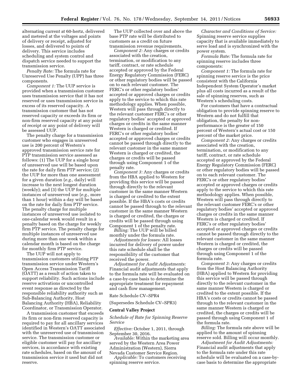alternating current at 60-hertz, delivered and metered at the voltages and points of delivery or receipt, adjusted for losses, and delivered to points of delivery. This service includes scheduling and system control and dispatch service needed to support the transmission service.

*Penalty Rate:* The formula rate for Unreserved Use Penalty (UPP) has three components.

*Component 1:* The UUP service is provided when a transmission customer uses transmission service that it has not reserved or uses transmission service in excess of its reserved capacity. A transmission customer that has not reserved capacity or exceeds its firm or non-firm reserved capacity at any point of receipt or any point of delivery will be assessed UUP.

The penalty charge for a transmission customer who engages in unreserved use is 200 percent of Western's approved transmission service rate for PTP transmission service assessed as follows: (1) The UUP for a single hour of unreserved use will be based upon the rate for daily firm PTP service; (2) the UUP for more than one assessment for a given duration (*e.g.,* daily) will increase to the next longest duration (weekly); and (3) the UUP for multiple instances of unreserved use (*e.g.,* more than 1 hour) within a day will be based on the rate for daily firm PTP service. The penalty charge for multiple instances of unreserved use isolated to one-calendar week would result in a penalty based on the charge for weekly firm PTP service. The penalty charge for multiple instances of unreserved use during more than one week within a calendar month is based on the charge for monthly firm PTP service.

The UUP will not apply to transmission customers utilizing PTP transmission service under Western's Open Access Transmission Tariff (OATT) as a result of action taken to support reliability. Such actions include reserve activations or uncontrolled event response as directed by the responsible reliability authority such as Sub-Balancing Authority, Host Balancing Authority (HBA), Reliability Coordinator, or Transmission Operator.

A transmission customer that exceeds its firm or non-firm reserved capacity is required to pay for all ancillary services identified in Western's OATT associated with the unreserved use of transmission service. The transmission customer or eligible customer will pay for ancillary services, in accordance with existing rate schedules, based on the amount of transmission service it used but did not reserve.

The UUP collected over and above the base PTP rate will be distributed to customers as a credit on future transmission revenue requirements.

*Component 2:* Any charges or credits associated with the creation, termination, or modification to any tariff, contract, or rate schedule accepted or approved by the Federal Energy Regulatory Commission (FERC) or other regulatory bodies will be passed on to each relevant customer. The FERC's or other regulatory bodies' accepted or approved charges or credits apply to the service to which this rate methodology applies. When possible, Western will pass through directly to the relevant customer FERC's or other regulatory bodies' accepted or approved charges or credits in the same manner Western is charged or credited. If FERC's or other regulatory bodies' accepted or approved charges or credits cannot be passed through directly to the relevant customer in the same manner Western is charged or credited, the charges or credits will be passed through using Component 1 of the penalty rate.

*Component 3:* Any charges or credits from the HBA applied to Western for providing this service will be passed through directly to the relevant customer in the same manner Western is charged or credited to the extent possible. If the HBA's costs or credits cannot be passed through to the relevant customer in the same manner Western is charged or credited, the charges or credits will be passed through using Component 1 of the penalty rate.

*Billing:* The UUP will be billed monthly under the formula rate.

*Adjustments for losses:* All losses incurred for delivery of power under this rate schedule shall be the responsibility of the customer that received the power.

*Adjustment for Audit Adjustments:*  Financial audit adjustments that apply to the formula rate will be evaluated on a case-by-case basis to determine the appropriate treatment for repayment and cash flow management.

Rate Schedule CV–SPR4

(Supersedes Schedule CV–SPR3)

#### **Central Valley Project**

*Schedule of Rate for Spinning Reserve Service* 

*Effective:* October 1, 2011, through September 30, 2016.

*Available:* Within the marketing area served by the Western Area Power Administration (Western), Sierra Nevada Customer Service Region.

*Applicable:* To customers receiving spinning reserve service.

*Character and Conditions of Service:*  Spinning reserve service supplies capacity that is available immediately to serve load and is synchronized with the power system.

*Formula Rate:* The formula rate for spinning reserve includes three components:

*Component 1:* The formula rate for spinning reserve service is the price consistent with the California Independent System Operator's market plus all costs incurred as a result of the sale of spinning reserves, such as Western's scheduling costs.

For customers that have a contractual obligation to provide spinning reserve to Western and do not fulfill that obligation, the penalty for nonperformance is the greater of 150 percent of Western's actual cost or 150 percent of the market price.

*Component 2:* Any charges or credits associated with the creation, termination, or modification to any tariff, contract, or rate schedule accepted or approved by the Federal Energy Regulatory Commission (FERC) or other regulatory bodies will be passed on to each relevant customer. The FERC's or other regulatory bodies' accepted or approved charges or credits apply to the service to which this rate methodology applies. When possible, Western will pass through directly to the relevant customer FERC's or other regulatory bodies' accepted or approved charges or credits in the same manner Western is charged or credited. If FERC's or other regulatory bodies' accepted or approved charges or credits cannot be passed through directly to the relevant customer in the same manner Western is charged or credited, the charges or credits will be passed through using Component 1 of the formula rate.

*Component 3:* Any charges or credits from the Host Balancing Authority (HBA) applied to Western for providing this service will be passed through directly to the relevant customer in the same manner Western is charged or credited to the extent possible. If the HBA's costs or credits cannot be passed through to the relevant customer in the same manner Western is charged or credited, the charges or credits will be passed through using Component 1 of the formula rate.

*Billing:* The formula rate above will be applied to the amount of spinning reserve sold. Billing will occur monthly.

*Adjustment for Audit Adjustments:*  Financial audit adjustments that apply to the formula rate under this rate schedule will be evaluated on a case-bycase basis to determine the appropriate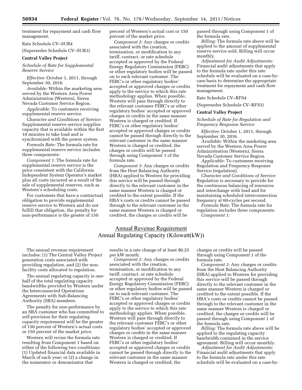treatment for repayment and cash flow management.

Rate Schedule CV–SUR4

(Supersedes Schedule CV–SUR3)

#### **Central Valley Project**

*Schedule of Rate for Supplemental Reserve Service* 

*Effective:* October 1, 2011, through September 30, 2016.

*Available:* Within the marketing area served by the Western Area Power Administration (Western), Sierra Nevada Customer Service Region.

*Applicable:* To customers receiving supplemental reserve service.

*Character and Conditions of Service:*  Supplemental reserve service supplies capacity that is available within the first 10 minutes to take load and is synchronized with the power system.

*Formula Rate:* The formula rate for supplemental reserve service includes three components:

*Component 1:* The formula rate for supplemental reserve service is the price consistent with the California Independent System Operator's market plus all costs incurred as a result of the sale of supplemental reserves, such as Western's scheduling costs.

For customers that have a contractual obligation to provide supplemental reserve service to Western and do not fulfill that obligation, the penalty for non-performance is the greater of 150

percent of Western's actual cost or 150 percent of the market price.

*Component 2:* Any charges or credits associated with the creation, termination, or modification to any tariff, contract, or rate schedule accepted or approved by the Federal Energy Regulatory Commission (FERC) or other regulatory bodies will be passed on to each relevant customer. The FERC's or other regulatory bodies' accepted or approved charges or credits apply to the service to which this rate methodology applies. When possible, Western will pass through directly to the relevant customer FERC's or other regulatory bodies' accepted or approved charges or credits in the same manner Western is charged or credited. If FERC's or other regulatory bodies' accepted or approved charges or credits cannot be passed through directly to the relevant customer in the same manner Western is charged or credited, the charges or credits will be passed through using Component 1 of the formula rate.

*Component 3:* Any charges or credits from the Host Balancing Authority (HBA) applied to Western for providing this service will be passed through directly to the relevant customer in the same manner Western is charged or credited to the extent possible. If the HBA's costs or credits cannot be passed through to the relevant customer in the same manner Western is charged or credited, the charges or credits will be

passed through using Component 1 of the formula rate.

*Billing:* The formula rate above will be applied to the amount of supplemental reserve service sold. Billing will occur monthly.

*Adjustment for Audit Adjustments:*  Financial audit adjustments that apply to the formula rate under this rate schedule will be evaluated on a case-bycase basis to determine the appropriate treatment for repayment and cash flow management.

#### Rate Schedule CV–RFS4

(Supersedes Schedule CV–RFS3)

#### **Central Valley Project**

*Schedule of Rate for Regulation and Frequency Response Service* 

*Effective:* October 1, 2011, through September 30, 2016.

*Available:* Within the marketing area served by the Western Area Power Administration (Western), Sierra Nevada Customer Service Region.

*Applicable:* To customers receiving Regulation and Frequency Response Service (regulation).

*Character and Conditions of Service:*  Regulation is necessary to provide for the continuous balancing of resources and interchange with load and for maintaining scheduled interconnection frequency at 60-cycles per second.

*Formula Rate:* The formula rate for regulation includes three components: *Component 1:* 

# Annual Revenue Requirement Annual Regulating Capacity (Kilowatt(kW))

The annual revenue requirement includes: (1) The Central Valley Project generation costs associated with providing regulation, and (2) the nonfacility costs allocated to regulation.

The annual regulating capacity is onehalf of the total regulating capacity bandwidths provided by Western under the Interconnected Operations Agreements with Sub-Balancing Authority (SBA) members.

The penalty for non-performance by an SBA customer who has committed to self-provision for their regulating capacity requirement will be the greater of 150 percent of Western's actual costs or 150 percent of the market price.

Western will revise the formula rate resulting from Component 1 based on either of the following two conditions: (1) Updated financial data available in March of each year; or (2) a change in the numerator or denominator that

results in a rate change of at least \$0.25 per kW month.

*Component 2:* Any charges or credits associated with the creation, termination, or modification to any tariff, contract, or rate schedule accepted or approved by the Federal Energy Regulatory Commission (FERC) or other regulatory bodies will be passed on to each relevant customer. The FERC's or other regulatory bodies' accepted or approved charges or credits apply to the service to which this rate methodology applies. When possible, Western will pass through directly to the relevant customer FERC's or other regulatory bodies' accepted or approved charges or credits in the same manner Western is charged or credited. If FERC's or other regulatory bodies' accepted or approved charges or credits cannot be passed through directly to the relevant customer in the same manner Western is charged or credited, the

charges or credits will be passed through using Component 1 of the formula rate.

*Component 3:* Any charges or credits from the Host Balancing Authority (HBA) applied to Western for providing this service will be passed through directly to the relevant customer in the same manner Western is charged or credited to the extent possible. If the HBA's costs or credits cannot be passed through to the relevant customer in the same manner Western is charged or credited, the charges or credits will be passed through using Component 1 of the formula rate.

*Billing:* The formula rate above will be applied to the regulating capacity bandwidth contained in the service agreement. Billing will occur monthly.

*Adjustment for Audit Adjustments:*  Financial audit adjustments that apply to the formula rate under this rate schedule will be evaluated on a case-by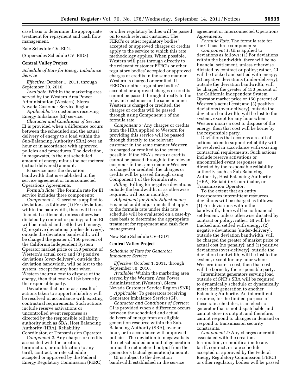case basis to determine the appropriate treatment for repayment and cash flow management.

Rate Schedule CV–EID4

(Supersedes Schedule CV–EID3)

#### **Central Valley Project**

*Schedule of Rate for Energy Imbalance Service* 

*Effective:* October 1, 2011, through September 30, 2016.

*Available:* Within the marketing area served by the Western Area Power Administration (Western), Sierra Nevada Customer Service Region.

*Applicable:* To customers receiving Energy Imbalance (EI) service.

*Character and Conditions of Service:*  EI is provided when a difference occurs between the scheduled and the actual delivery of energy to a load within the Sub-Balancing Authority (SBA) over an hour or in accordance with approved policies and procedures. The deviation, in megawatts, is the net scheduled amount of energy minus the net metered (actual delivered) amount.

EI service uses the deviation bandwidth that is established in the service agreement or Interconnected Operations Agreements.

*Formula Rate:* The formula rate for EI service includes three components:

*Component 1:* EI service is applied to deviations as follows: (1) For deviations within the bandwidth, there will be no financial settlement, unless otherwise dictated by contract or policy; rather, EI will be tracked and settled with energy; (2) negative deviations (under-delivery), outside the deviation bandwidth, will be charged the greater of 150 percent of the California Independent System Operator market price or 150 percent of Western's actual cost; and (3) positive deviations (over-delivery), outside the deviation bandwidth, will be lost to the system, except for any hour when Western incurs a cost to dispose of the energy, then that cost will be borne by the responsible party.

Deviations that occur as a result of actions taken to support reliability will be resolved in accordance with existing contractual requirements. Such actions include reserve activations or uncontrolled event responses as directed by the responsible reliability authority such as SBA, Host Balancing Authority (HBA), Reliability Coordinator, or Transmission Operator.

*Component 2:* Any charges or credits associated with the creation, termination, or modification to any tariff, contract, or rate schedule accepted or approved by the Federal Energy Regulatory Commission (FERC)

or other regulatory bodies will be passed on to each relevant customer. The FERC's or other regulatory bodies' accepted or approved charges or credits apply to the service to which this rate methodology applies. When possible, Western will pass through directly to the relevant customer FERC's or other regulatory bodies' accepted or approved charges or credits in the same manner Western is charged or credited. If FERC's or other regulatory bodies' accepted or approved charges or credits cannot be passed through directly to the relevant customer in the same manner Western is charged or credited, the charges or credits will be passed through using Component 1 of the formula rate.

*Component 3:* Any charges or credits from the HBA applied to Western for providing this service will be passed through directly to the relevant customer in the same manner Western is charged or credited to the extent possible. If the HBA's costs or credits cannot be passed through to the relevant customer in the same manner Western is charged or credited, the charges or credits will be passed through using Component 1 of the formula rate.

*Billing:* Billing for negative deviations outside the bandwidth, or as otherwise required, will occur monthly.

*Adjustment for Audit Adjustments:*  Financial audit adjustments that apply to the formula rate under this rate schedule will be evaluated on a case-bycase basis to determine the appropriate treatment for repayment and cash flow management.

#### New Rate Schedule CV–GID1

#### **Central Valley Project**

*Schedule of Rate for Generator Imbalance Service* 

*Effective:* October 1, 2011, through September 30, 2016.

*Available:* Within the marketing area served by the Western Area Power Administration (Western), Sierra Nevada Customer Service Region (SNR).

*Applicable:* To generators receiving Generator Imbalance Service (GI).

*Character and Conditions of Service:*  GI is provided when a difference occurs between the scheduled and actual delivery of energy from an eligible generation resource within the Sub-Balancing Authority (SBA), over an hour, or in accordance with approved policies. The deviation in megawatts is the net scheduled amount of generation minus the net metered output from the generator's (actual generation) amount.

GI is subject to the deviation bandwidth established in the service agreement or Interconnected Operations Agreements.

*Formula Rate:* The formula rate for the GI has three components:

*Component 1:* GI is applied to deviations as follows: (1) For deviations within the bandwidth, there will be no financial settlement, unless otherwise dictated by contract or policy; rather, GI will be tracked and settled with energy; (2) negative deviations (under-delivery), outside the deviation bandwidth, will be charged the greater of 150 percent of the California Independent System Operator market price or 150 percent of Western's actual cost; and (3) positive deviations (over-delivery), outside the deviation bandwidth, will be lost to the system, except for any hour when Western incurs a cost to dispose of the energy, then that cost will be borne by the responsible party.

Deviations that occur as a result of actions taken to support reliability will be resolved in accordance with existing contractual requirements. Such actions include reserve activations or uncontrolled event responses as directed by the responsible reliability authority such as Sub-Balancing Authority, Host Balancing Authority (HBA), Reliability Coordinator, or Transmission Operator.

To the extent that an entity incorporates intermittent resources, deviations will be charged as follows: (1) For deviations within the bandwidth, there will be no financial settlement, unless otherwise dictated by contract or policy; rather, GI will be tracked and settled with energy; (2) negative deviations (under-delivery), outside the deviation bandwidth, will be charged the greater of market price or actual cost (no penalty); and (3) positive deviations (over-delivery), outside the deviation bandwidth, will be lost to the system, except for any hour where Western incurs a cost, then that cost will be borne by the responsible party.

Intermittent generators serving load outside of SNR's SBA will be required to dynamically schedule or dynamically meter their generation to another Balancing Authority. An intermittent resource, for the limited purpose of these rate schedules, is an electric generator that is not dispatchable and cannot store its output, and therefore, cannot respond to changes in demand or respond to transmission security constraints.

*Component 2:* Any charges or credits associated with the creation, termination, or modification to any tariff, contract, or rate schedule accepted or approved by the Federal Energy Regulatory Commission (FERC) or other regulatory bodies will be passed